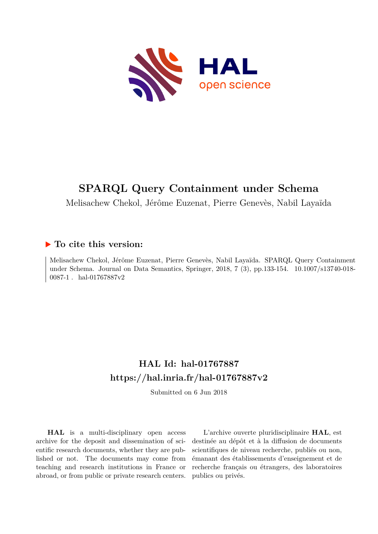

# **SPARQL Query Containment under Schema**

Melisachew Chekol, Jérôme Euzenat, Pierre Genevès, Nabil Layaïda

## **To cite this version:**

Melisachew Chekol, Jérôme Euzenat, Pierre Genevès, Nabil Layaïda. SPARQL Query Containment under Schema. Journal on Data Semantics, Springer, 2018, 7 (3), pp.133-154. 10.1007/s13740-018-0087-1 . hal-01767887v2

## **HAL Id: hal-01767887 <https://hal.inria.fr/hal-01767887v2>**

Submitted on 6 Jun 2018

**HAL** is a multi-disciplinary open access archive for the deposit and dissemination of scientific research documents, whether they are published or not. The documents may come from teaching and research institutions in France or abroad, or from public or private research centers.

L'archive ouverte pluridisciplinaire **HAL**, est destinée au dépôt et à la diffusion de documents scientifiques de niveau recherche, publiés ou non, émanant des établissements d'enseignement et de recherche français ou étrangers, des laboratoires publics ou privés.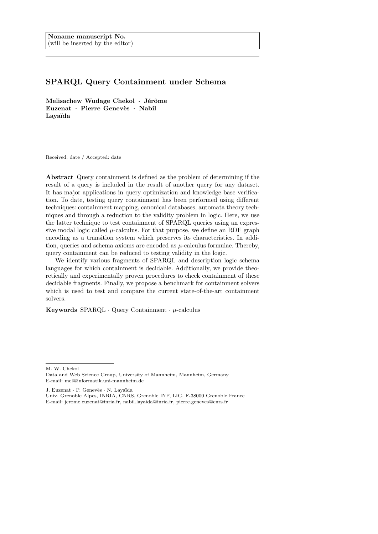## SPARQL Query Containment under Schema

Melisachew Wudage Chekol  $\cdot$  Jérôme Euzenat · Pierre Genevès · Nabil Layaïda

Received: date / Accepted: date

Abstract Query containment is defined as the problem of determining if the result of a query is included in the result of another query for any dataset. It has major applications in query optimization and knowledge base verification. To date, testing query containment has been performed using different techniques: containment mapping, canonical databases, automata theory techniques and through a reduction to the validity problem in logic. Here, we use the latter technique to test containment of SPARQL queries using an expressive modal logic called  $\mu$ -calculus. For that purpose, we define an RDF graph encoding as a transition system which preserves its characteristics. In addition, queries and schema axioms are encoded as  $\mu$ -calculus formulae. Thereby, query containment can be reduced to testing validity in the logic.

We identify various fragments of SPARQL and description logic schema languages for which containment is decidable. Additionally, we provide theoretically and experimentally proven procedures to check containment of these decidable fragments. Finally, we propose a benchmark for containment solvers which is used to test and compare the current state-of-the-art containment solvers.

Keywords  $SPARQL \cdot Query$  Containment  $\cdot \mu$ -calculus

M. W. Chekol

J. Euzenat · P. Genevès · N. Layaïda

Data and Web Science Group, University of Mannheim, Mannheim, Germany E-mail: mel@informatik.uni-mannheim.de

Univ. Grenoble Alpes, INRIA, CNRS, Grenoble INP, LIG, F-38000 Grenoble France E-mail: jerome.euzenat@inria.fr, nabil.layaida@inria.fr, pierre.geneves@cnrs.fr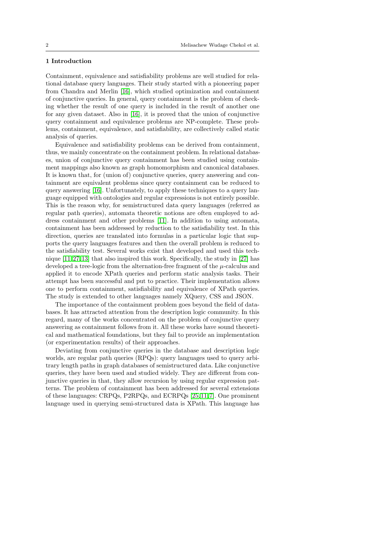## 1 Introduction

Containment, equivalence and satisfiability problems are well studied for relational database query languages. Their study started with a pioneering paper from Chandra and Merlin [16], which studied optimization and containment of conjunctive queries. In general, query containment is the problem of checking whether the result of one query is included in the result of another one for any given dataset. Also in [16], it is proved that the union of conjunctive query containment and equivalence problems are NP-complete. These problems, containment, equivalence, and satisfiability, are collectively called static analysis of queries.

Equivalence and satisfiability problems can be derived from containment, thus, we mainly concentrate on the containment problem. In relational databases, union of conjunctive query containment has been studied using containment mappings also known as graph homomorphism and canonical databases. It is known that, for (union of) conjunctive queries, query answering and containment are equivalent problems since query containment can be reduced to query answering [16]. Unfortunately, to apply these techniques to a query language equipped with ontologies and regular expressions is not entirely possible. This is the reason why, for semistructured data query languages (referred as regular path queries), automata theoretic notions are often employed to address containment and other problems [11]. In addition to using automata, containment has been addressed by reduction to the satisfiability test. In this direction, queries are translated into formulas in a particular logic that supports the query languages features and then the overall problem is reduced to the satisfiability test. Several works exist that developed and used this technique [11, 27, 13] that also inspired this work. Specifically, the study in [27] has developed a tree-logic from the alternation-free fragment of the  $\mu$ -calculus and applied it to encode XPath queries and perform static analysis tasks. Their attempt has been successful and put to practice. Their implementation allows one to perform containment, satisfiability and equivalence of XPath queries. The study is extended to other languages namely XQuery, CSS and JSON.

The importance of the containment problem goes beyond the field of databases. It has attracted attention from the description logic community. In this regard, many of the works concentrated on the problem of conjunctive query answering as containment follows from it. All these works have sound theoretical and mathematical foundations, but they fail to provide an implementation (or experimentation results) of their approaches.

Deviating from conjunctive queries in the database and description logic worlds, are regular path queries (RPQs): query languages used to query arbitrary length paths in graph databases of semistructured data. Like conjunctive queries, they have been used and studied widely. They are different from conjunctive queries in that, they allow recursion by using regular expression patterns. The problem of containment has been addressed for several extensions of these languages: CRPQs, P2RPQs, and ECRPQs [25, 11, 7]. One prominent language used in querying semi-structured data is XPath. This language has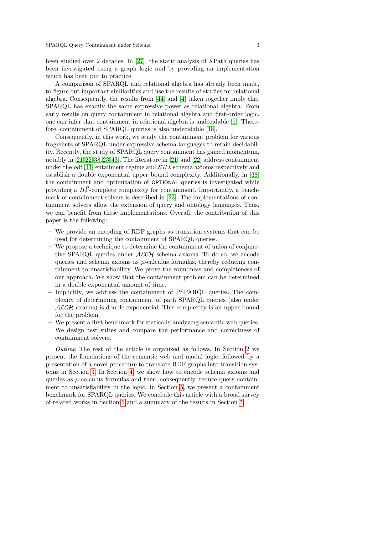been studied over 2 decades. In [27], the static analysis of XPath queries has been investigated using a graph logic and by providing an implementation which has been put to practice.

A comparison of SPARQL and relational algebra has already been made, to figure out important similarities and use the results of studies for relational algebra. Consequently, the results from [44] and [4] taken together imply that SPARQL has exactly the same expressive power as relational algebra. From early results on query containment in relational algebra and first-order logic, one can infer that containment in relational algebra is undecidable [1]. Therefore, containment of SPARQL queries is also undecidable [18].

Consequently, in this work, we study the containment problem for various fragments of SPARQL under expressive schema languages to retain decidability. Recently, the study of SPARQL query containment has gained momentum, notably in [21, 22, 38, 23, 43]. The literature in [21] and [22] address containment under the  $\rho df$  [41] entailment regime and  $\mathcal{S}H\mathcal{I}$  schema axioms respectively and establish a double exponential upper bound complexity. Additionally, in [38] the containment and optimization of OPTIONAL queries is investigated while providing a  $\Pi_2^P$ -complete complexity for containment. Importantly, a benchmark of containment solvers is described in [23]. The implementations of containment solvers allow the extension of query and ontology languages. Thus, we can benefit from these implementations. Overall, the contribution of this paper is the following:

- We provide an encoding of RDF graphs as transition systems that can be used for determining the containment of SPARQL queries.
- We propose a technique to determine the containment of union of conjunctive SPAROL queries under  $\text{ALCH}$  schema axioms. To do so, we encode queries and schema axioms as  $\mu$ -calculus formulas, thereby reducing containment to unsatisfiability. We prove the soundness and completeness of our approach. We show that the containment problem can be determined in a double exponential amount of time.
- Implicitly, we address the containment of PSPARQL queries. The complexity of determining containment of path SPARQL queries (also under  $ALCH$  axioms) is double exponential. This complexity is an upper bound for the problem.
- We present a first benchmark for statically analyzing semantic web queries. We design test suites and compare the performance and correctness of containment solvers.

Outline The rest of the article is organized as follows. In Section 2 we present the foundations of the semantic web and modal logic, followed by a presentation of a novel procedure to translate RDF graphs into transition systems in Section 3. In Section 4, we show how to encode schema axioms and queries as  $\mu$ -calculus formulas and then, consequently, reduce query containment to unsatisfiability in the logic. In Section 5, we present a containment benchmark for SPARQL queries. We conclude this article with a broad survey of related works in Section 6 and a summary of the results in Section 7.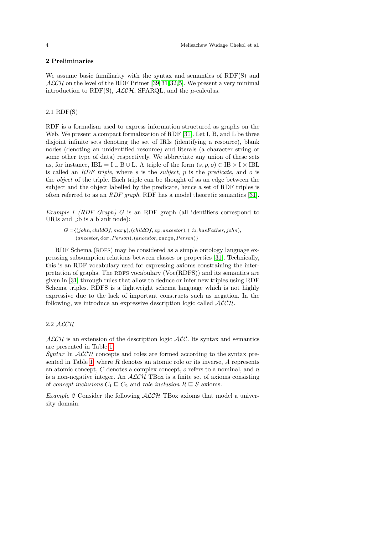## 2 Preliminaries

We assume basic familiarity with the syntax and semantics of RDF(S) and  $ALCH$  on the level of the RDF Primer [39, 31, 32, 5]. We present a very minimal introduction to RDF(S),  $\text{ALCH}$ , SPARQL, and the  $\mu$ -calculus.

#### 2.1 RDF(S)

RDF is a formalism used to express information structured as graphs on the Web. We present a compact formalization of RDF [31]. Let I, B, and L be three disjoint infinite sets denoting the set of IRIs (identifying a resource), blank nodes (denoting an unidentified resource) and literals (a character string or some other type of data) respectively. We abbreviate any union of these sets as, for instance, IBL = I ∪ B ∪ L. A triple of the form  $(s, p, o) \in IB \times I \times IBL$ is called an  $RDF$  triple, where s is the subject, p is the predicate, and o is the object of the triple. Each triple can be thought of as an edge between the subject and the object labelled by the predicate, hence a set of RDF triples is often referred to as an RDF graph. RDF has a model theoretic semantics [31].

Example 1 (RDF Graph) G is an RDF graph (all identifiers correspond to URIs and  $\Box$ b is a blank node):

 $G = \{(john, childOf, Mary), (childOf, sp, ancestor), (\exists b, hasFather, john),$  $(ancestor, dom, Person), (ancestor, range, Person)$ }

RDF Schema (RDFS) may be considered as a simple ontology language expressing subsumption relations between classes or properties [31]. Technically, this is an RDF vocabulary used for expressing axioms constraining the interpretation of graphs. The RDFS vocabulary (Voc(RDFS)) and its semantics are given in [31] through rules that allow to deduce or infer new triples using RDF Schema triples. RDFS is a lightweight schema language which is not highly expressive due to the lack of important constructs such as negation. In the following, we introduce an expressive description logic called  $\mathcal{ALCH}$ .

## 2.2 ALCH

 $\mathcal{ALCH}$  is an extension of the description logic  $\mathcal{ALC}$ . Its syntax and semantics are presented in Table 1.

Syntax In  $\mathcal{ALCH}$  concepts and roles are formed according to the syntax presented in Table 1, where  $R$  denotes an atomic role or its inverse,  $A$  represents an atomic concept,  $C$  denotes a complex concept,  $o$  refers to a nominal, and  $n$ is a non-negative integer. An  $ALCH$  TBox is a finite set of axioms consisting of concept inclusions  $C_1 \sqsubseteq C_2$  and role inclusion  $R \sqsubseteq S$  axioms.

Example 2 Consider the following  $\mathcal{ALCH}$  TBox axioms that model a university domain.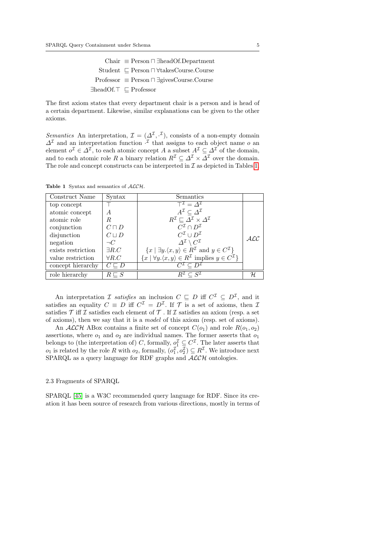$Chair \equiv Person \sqcap \exists headOf.Department$ Student  $⊆$  Person  $\sqcap$  ∀takesCourse.Course  $Professor \equiv Person \sqcap \exists givesCourse.Course$ ∃headOf.⊤ ⊏ Professor

The first axiom states that every department chair is a person and is head of a certain department. Likewise, similar explanations can be given to the other axioms.

Semantics An interpretation,  $\mathcal{I} = (\Delta^{\mathcal{I}}, \cdot^{\mathcal{I}})$ , consists of a non-empty domain  $\Delta^{\mathcal{I}}$  and an interpretation function  $\cdot^{\mathcal{I}}$  that assigns to each object name o an element  $o^{\mathcal{I}} \in \Delta^{\mathcal{I}}$ , to each atomic concept A a subset  $A^{\mathcal{I}} \subseteq \Delta^{\mathcal{I}}$  of the domain, and to each atomic role R a binary relation  $R^{\mathcal{I}} \subset \Delta^{\mathcal{I}} \times \overline{\Delta}^{\mathcal{I}}$  over the domain. The role and concept constructs can be interpreted in  $\mathcal I$  as depicted in Tables 1.

| Construct Name     | Syntax            | Semantics                                                                                                      |             |
|--------------------|-------------------|----------------------------------------------------------------------------------------------------------------|-------------|
| top concept        |                   | $T^{\mathcal{I}} = \Delta^{\mathcal{I}}$                                                                       |             |
| atomic concept     | A                 | $A^{\mathcal{I}} \subset \Delta^{\mathcal{I}}$                                                                 |             |
| atomic role        | R                 | $R^{\mathcal{I}} \sqsubset \varDelta^{\mathcal{I}} \times \varDelta^{\mathcal{I}}$                             |             |
| conjunction        | $C\sqcap D$       | $C^{\mathcal{I}} \cap D^{\mathcal{I}}$                                                                         |             |
| disjunction        | $C \sqcup D$      | $C^{\mathcal{I}} \cup D^{\mathcal{I}}$                                                                         | $\cal{ALC}$ |
| negation           | $\neg C$          | $\varDelta^{\mathcal{I}}\setminus C^{\mathcal{I}}$                                                             |             |
| exists restriction | $\exists R.C$     | $\{x \mid \exists y.\langle x,y\rangle \in R^{\mathcal{I}} \text{ and } y \in C^{\mathcal{I}}\}\$              |             |
| value restriction  | $\forall R.C$     | $\{x \mid \forall y \ldotp \langle x, y \rangle \in R^{\mathcal{I}} \text{ implies } y \in C^{\mathcal{I}}\}\$ |             |
| concept hierarchy  | $C \sqsubset D$   |                                                                                                                |             |
| role hierarchy     | $R \sqsubseteq S$ |                                                                                                                | H           |

Table 1 Syntax and semantics of  $ALCH$ .

An interpretation *I* satisfies an inclusion  $C \subseteq D$  iff  $C^{\mathcal{I}} \subseteq D^{\mathcal{I}}$ , and it satisfies an equality  $C \equiv D$  iff  $C^{\mathcal{I}} = D^{\mathcal{I}}$ . If  $\mathcal{T}$  is a set of axioms, then  $\mathcal{I}$ satisfies  $\mathcal T$  iff  $\mathcal I$  satisfies each element of  $\mathcal T$ . If  $\mathcal I$  satisfies an axiom (resp. a set of axioms), then we say that it is a model of this axiom (resp. set of axioms).

An  $ALCH$  ABox contains a finite set of concept  $C(o_1)$  and role  $R(o_1, o_2)$ assertions, where  $o_1$  and  $o_2$  are individual names. The former asserts that  $o_1$ belongs to (the interpretation of) C, formally,  $o_1^{\mathcal{I}} \subseteq C^{\mathcal{I}}$ . The later asserts that  $o_1$  is related by the role R with  $o_2$ , formally,  $(o_1^{\mathcal{I}}, o_2^{\mathcal{I}}) \subseteq R^{\mathcal{I}}$ . We introduce next SPARQL as a query language for RDF graphs and  $\mathcal{ALCH}$  ontologies.

#### 2.3 Fragments of SPARQL

SPARQL [45] is a W3C recommended query language for RDF. Since its creation it has been source of research from various directions, mostly in terms of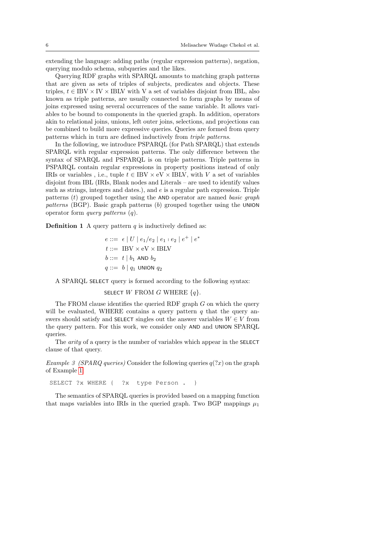extending the language: adding paths (regular expression patterns), negation, querying modulo schema, subqueries and the likes.

Querying RDF graphs with SPARQL amounts to matching graph patterns that are given as sets of triples of subjects, predicates and objects. These triples,  $t \in \text{IBV} \times \text{IV} \times \text{IBLV}$  with V a set of variables disjoint from IBL, also known as triple patterns, are usually connected to form graphs by means of joins expressed using several occurrences of the same variable. It allows variables to be bound to components in the queried graph. In addition, operators akin to relational joins, unions, left outer joins, selections, and projections can be combined to build more expressive queries. Queries are formed from query patterns which in turn are defined inductively from triple patterns.

In the following, we introduce PSPARQL (for Path SPARQL) that extends SPARQL with regular expression patterns. The only difference between the syntax of SPARQL and PSPARQL is on triple patterns. Triple patterns in PSPARQL contain regular expressions in property positions instead of only IRIs or variables , i.e., tuple  $t \in \text{IBV} \times \text{eV} \times \text{IBLV}$ , with V a set of variables disjoint from IBL (IRIs, Blank nodes and Literals – are used to identify values such as strings, integers and dates.), and  $e$  is a regular path expression. Triple patterns  $(t)$  grouped together using the AND operator are named basic graph patterns (BGP). Basic graph patterns  $(b)$  grouped together using the UNION operator form query patterns (q).

**Definition 1** A query pattern  $q$  is inductively defined as:

 $e ::= \epsilon | U | e_1 / e_2 | e_1 + e_2 | e^+ | e^*$  $t ::= \text{IBV} \times \text{eV} \times \text{IBLV}$  $b ::= t | b_1$  AND  $b_2$  $q ::= b \mid q_1$  UNION  $q_2$ 

A SPARQL SELECT query is formed according to the following syntax:

## SELECT W FROM G WHERE  ${q}$ .

The FROM clause identifies the queried RDF graph  $G$  on which the query will be evaluated. WHERE contains a query pattern  $q$  that the query answers should satisfy and SELECT singles out the answer variables  $W \in V$  from the query pattern. For this work, we consider only AND and UNION SPARQL queries.

The *arity* of a query is the number of variables which appear in the SELECT clause of that query.

Example 3 (SPARQ queries) Consider the following queries  $q(2x)$  on the graph of Example 1:

SELECT ?x WHERE { ?x type Person . }

The semantics of SPARQL queries is provided based on a mapping function that maps variables into IRIs in the queried graph. Two BGP mappings  $\mu_1$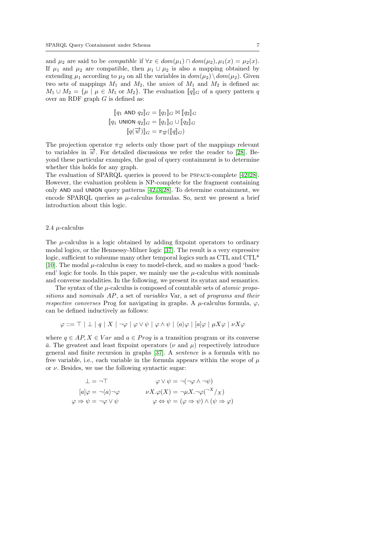and  $\mu_2$  are said to be *compatible* if  $\forall x \in dom(\mu_1) \cap dom(\mu_2), \mu_1(x) = \mu_2(x)$ . If  $\mu_1$  and  $\mu_2$  are compatible, then  $\mu_1 \cup \mu_2$  is also a mapping obtained by extending  $\mu_1$  according to  $\mu_2$  on all the variables in  $dom(\mu_2) \setminus dom(\mu_2)$ . Given two sets of mappings  $M_1$  and  $M_2$ , the *union* of  $M_1$  and  $M_2$  is defined as:  $M_1 \cup M_2 = {\mu \mid \mu \in M_1 \text{ or } M_2}.$  The evaluation  $\llbracket q \rrbracket_G$  of a query pattern q over an RDF graph  $G$  is defined as:

$$
\begin{aligned}\n\llbracket q_1 \text{ AND } q_2 \rrbracket_G &= \llbracket q_1 \rrbracket_G \bowtie \llbracket q_2 \rrbracket_G \\
\llbracket q_1 \text{ UNION } q_2 \rrbracket_G &= \llbracket q_1 \rrbracket_G \cup \llbracket q_2 \rrbracket_G \\
\llbracket q(\overrightarrow{w}) \rrbracket_G &= \pi_{\overrightarrow{w}}(\llbracket q \rrbracket_G)\n\end{aligned}
$$

The projection operator  $\pi_{\overrightarrow{w}}$  selects only those part of the mappings relevant to variables in  $\vec{w}$ . For detailed discussions we refer the reader to [28]. Beyond these particular examples, the goal of query containment is to determine whether this holds for any graph.

The evaluation of SPARQL queries is proved to be PSPACE-complete [42, 28]. However, the evaluation problem is NP-complete for the fragment containing only AND and UNION query patterns [42, 3, 28]. To determine containment, we encode SPARQL queries as  $\mu$ -calculus formulas. So, next we present a brief introduction about this logic.

#### 2.4  $\mu$ -calculus

The  $\mu$ -calculus is a logic obtained by adding fixpoint operators to ordinary modal logics, or the Hennessy-Milner logic [37]. The result is a very expressive logic, sufficient to subsume many other temporal logics such as CTL and CTL<sup>\*</sup> [10]. The modal  $\mu$ -calculus is easy to model-check, and so makes a good 'backend' logic for tools. In this paper, we mainly use the  $\mu$ -calculus with nominals and converse modalities. In the following, we present its syntax and semantics.

The syntax of the  $\mu$ -calculus is composed of countable sets of *atomic propo*sitions and nominals AP, a set of variables Var, a set of programs and their respective converses Prog for navigating in graphs. A  $\mu$ -calculus formula,  $\varphi$ , can be defined inductively as follows:

$$
\varphi ::= \top \mid \bot \mid q \mid X \mid \neg \varphi \mid \varphi \vee \psi \mid \varphi \wedge \psi \mid \langle a \rangle \varphi \mid [a] \varphi \mid \mu X \varphi \mid \nu X \varphi
$$

where  $q \in AP, X \in Var$  and  $a \in Proq$  is a transition program or its converse  $\bar{a}$ . The greatest and least fixpoint operators ( $\nu$  and  $\mu$ ) respectively introduce general and finite recursion in graphs [37]. A sentence is a formula with no free variable, i.e., each variable in the formula appears within the scope of  $\mu$ or  $\nu$ . Besides, we use the following syntactic sugar:

$$
\bot = \neg \top \qquad \qquad \varphi \lor \psi = \neg(\neg \varphi \land \neg \psi)
$$
  
\n
$$
[a] \varphi = \neg \langle a \rangle \neg \varphi \qquad \qquad \nu X. \varphi(X) = \neg \mu X. \neg \varphi(\neg X / X)
$$
  
\n
$$
\varphi \Rightarrow \psi = \neg \varphi \lor \psi \qquad \qquad \varphi \Leftrightarrow \psi = (\varphi \Rightarrow \psi) \land (\psi \Rightarrow \varphi)
$$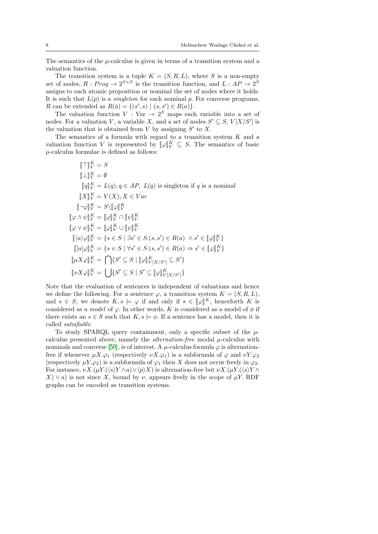The semantics of the  $\mu$ -calculus is given in terms of a transition system and a valuation function.

The transition system is a tuple  $K = (S, R, L)$ , where S is a non-empty set of nodes,  $R: Prog \to 2^{S \times S}$  is the transition function, and  $L: AP \to 2^{S}$ assigns to each atomic proposition or nominal the set of nodes where it holds. It is such that  $L(p)$  is a *singleton* for each nominal p. For converse programs, R can be extended as  $R(\bar{a}) = \{(s', s) | (s, s') \in R(a)\}.$ 

The valuation function  $V: \text{Var} \to 2^S$  maps each variable into a set of nodes. For a valuation V, a variable X, and a set of nodes  $S' \subseteq S$ ,  $V[X/S']$  is the valuation that is obtained from  $V$  by assigning  $S'$  to  $X$ .

The semantics of a formula with regard to a transition system K and a valuation function V is represented by  $[\![\varphi]\!]_V^K \subseteq S$ . The semantics of basic  $\mu$  colouly formulae is defined as follows:  $\mu$ -calculus formulae is defined as follows:

$$
\llbracket \top \rrbracket_K^K = S
$$
\n
$$
\llbracket \bot \rrbracket_V^K = \emptyset
$$
\n
$$
\llbracket q \rrbracket_V^K = L(q), q \in AP, L(q) \text{ is singleton if } q \text{ is a nominal}
$$
\n
$$
\llbracket X \rrbracket_V^K = V(X), X \in Var
$$
\n
$$
\llbracket \neg \varphi \rrbracket_V^K = S \backslash \llbracket \varphi \rrbracket_V^K
$$
\n
$$
\llbracket \varphi \land \psi \rrbracket_V^K = \llbracket \varphi \rrbracket_V^K \cap \llbracket \psi \rrbracket_V^K
$$
\n
$$
\llbracket \varphi \lor \psi \rrbracket_V^K = \llbracket \varphi \rrbracket_V^K \cup \llbracket \psi \rrbracket_V^K
$$
\n
$$
\llbracket (a \rangle \varphi \rrbracket_V^K = \{ s \in S \mid \exists s' \in S. (s, s') \in R(a) \land s' \in \llbracket \varphi \rrbracket_V^K \}
$$
\n
$$
\llbracket [a] \varphi \rrbracket_V^K = \{ s \in S \mid \forall s' \in S. (s, s') \in R(a) \Rightarrow s' \in \llbracket \varphi \rrbracket_V^K \}
$$
\n
$$
\llbracket \mu X \varphi \rrbracket_V^K = \bigcap \{ S' \subseteq S \mid \llbracket \varphi \rrbracket_V^K_{[X/S']} \subseteq S' \}
$$
\n
$$
\llbracket \nu X \varphi \rrbracket_V^K = \bigcup \{ S' \subseteq S \mid S' \subseteq \llbracket \varphi \rrbracket_V^K_{[X/S']} \}
$$

Note that the evaluation of sentences is independent of valuations and hence we define the following. For a sentence  $\varphi$ , a transition system  $K = (S, R, L)$ , and  $s \in S$ , we denote  $K$ ,  $s \models \varphi$  if and only if  $s \in [\varphi]^K$ , henceforth K is considered as a model of  $\varphi$ . In other words, K is considered as a model of  $\phi$  if there exists an  $s \in S$  such that  $K, s \models \phi$ . If a sentence has a model, then it is called satisfiable.

To study SPARQL query containment, only a specific subset of the  $\mu$ calculus presented above, namely the *alternation-free* modal  $\mu$ -calculus with nominals and converse [50], is of interest. A  $\mu$ -calculus formula  $\varphi$  is alternationfree if whenever  $\mu X.\varphi_1$  (respectively  $\nu X.\varphi_1$ ) is a subformula of  $\varphi$  and  $\nu Y.\varphi_2$ (respectively  $\mu Y.\varphi_2$ ) is a subformula of  $\varphi_1$  then X does not occur freely in  $\varphi_2$ . For instance,  $\nu X.(\mu Y.(\langle s \rangle Y \wedge a) \vee \langle p \rangle X)$  is alternation-free but  $\nu X.(\mu Y.(\langle s \rangle Y \wedge a) \vee \langle p \rangle X)$  $X) \vee a$  is not since X, bound by  $\nu$ , appears freely in the scope of  $\mu$ Y. RDF graphs can be encoded as transition systems.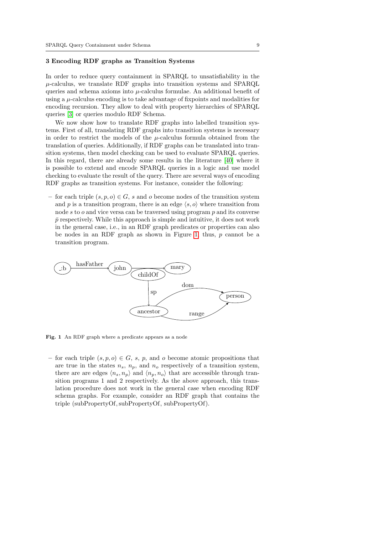#### 3 Encoding RDF graphs as Transition Systems

In order to reduce query containment in SPARQL to unsatisfiability in the  $\mu$ -calculus, we translate RDF graphs into transition systems and SPARQL queries and schema axioms into  $\mu$ -calculus formulae. An additional benefit of using a  $\mu$ -calculus encoding is to take advantage of fixpoints and modalities for encoding recursion. They allow to deal with property hierarchies of SPARQL queries [3] or queries modulo RDF Schema.

We now show how to translate RDF graphs into labelled transition systems. First of all, translating RDF graphs into transition systems is necessary in order to restrict the models of the  $\mu$ -calculus formula obtained from the translation of queries. Additionally, if RDF graphs can be translated into transition systems, then model checking can be used to evaluate SPARQL queries. In this regard, there are already some results in the literature [40] where it is possible to extend and encode SPARQL queries in a logic and use model checking to evaluate the result of the query. There are several ways of encoding RDF graphs as transition systems. For instance, consider the following:

– for each triple  $(s, p, o) \in G$ , s and o become nodes of the transition system and p is a transition program, there is an edge  $\langle s, o \rangle$  where transition from node s to  $o$  and vice versa can be traversed using program  $p$  and its converse  $\bar{p}$  respectively. While this approach is simple and intuitive, it does not work in the general case, i.e., in an RDF graph predicates or properties can also be nodes in an RDF graph as shown in Figure 1, thus,  $p$  cannot be a transition program.



Fig. 1 An RDF graph where a predicate appears as a node

– for each triple  $(s, p, o) \in G$ , s, p, and o become atomic propositions that are true in the states  $n_s$ ,  $n_p$ , and  $n_o$  respectively of a transition system, there are are edges  $\langle n_s, n_p \rangle$  and  $\langle n_p, n_o \rangle$  that are accessible through transition programs 1 and 2 respectively. As the above approach, this translation procedure does not work in the general case when encoding RDF schema graphs. For example, consider an RDF graph that contains the triple (subPropertyOf,subPropertyOf, subPropertyOf).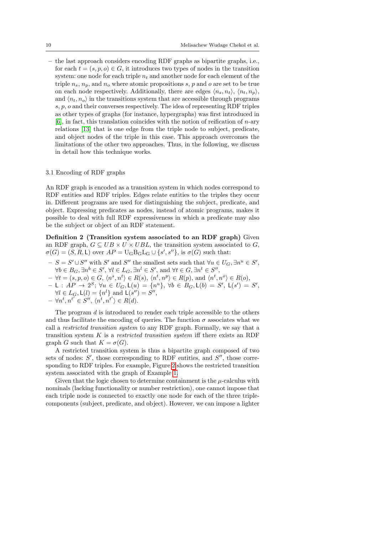– the last approach considers encoding RDF graphs as bipartite graphs, i.e., for each  $t = (s, p, o) \in G$ , it introduces two types of nodes in the transition system: one node for each triple  $n_t$  and another node for each element of the triple  $n_s$ ,  $n_p$ , and  $n_o$  where atomic propositions s, p and o are set to be true on each node respectively. Additionally, there are edges  $\langle n_s, n_t \rangle$ ,  $\langle n_t, n_p \rangle$ , and  $\langle n_t, n_o \rangle$  in the transitions system that are accessible through programs s, p, o and their converses respectively. The idea of representing RDF triples as other types of graphs (for instance, hypergraphs) was first introduced in  $[6]$ , in fact, this translation coincides with the notion of reification of *n*-ary relations [13] that is one edge from the triple node to subject, predicate, and object nodes of the triple in this case. This approach overcomes the limitations of the other two approaches. Thus, in the following, we discuss in detail how this technique works.

#### 3.1 Encoding of RDF graphs

An RDF graph is encoded as a transition system in which nodes correspond to RDF entities and RDF triples. Edges relate entities to the triples they occur in. Different programs are used for distinguishing the subject, predicate, and object. Expressing predicates as nodes, instead of atomic programs, makes it possible to deal with full RDF expressiveness in which a predicate may also be the subject or object of an RDF statement.

Definition 2 (Transition system associated to an RDF graph) Given an RDF graph,  $G \subseteq UB \times U \times UBL$ , the transition system associated to G,  $\sigma(G) = (S, R, L)$  over  $AP = U_G B_G L_G \cup \{s', s''\},$  is  $\sigma(G)$  such that:

- $S = S' \cup S''$  with S' and S'' the smallest sets such that  $\forall u \in U_G$ ,  $\exists n^u \in S'$ ,  $\forall b \in B_G, \exists n^b \in S', \forall l \in L_G, \exists n^l \in S', \text{ and } \forall t \in G, \exists n^t \in S'',$
- $-\forall t = (s, p, o) \in G, \langle n^s, n^t \rangle \in R(s), \langle n^t, n^p \rangle \in R(p), \text{ and } \langle n^t, n^o \rangle \in R(o),$
- $L : AP \rightarrow 2^S; \forall u \in U_G, L(u) = \{n^u\}, \forall b \in B_G, L(b) = S', L(s') = S',$  $\forall l \in L_G, \mathsf{L}(l) = \{n^l\} \text{ and } \mathsf{L}(s'') = S'',  
\forall n^t, n^{t'} \in S'', \langle n^t, n^{t'} \rangle \in R(d).$

$$
-\forall n^t, n^{t'} \in S'', \langle n^t, n^{t'} \rangle \in R(d).
$$

The program d is introduced to render each triple accessible to the others and thus facilitate the encoding of queries. The function  $\sigma$  associates what we call a restricted transition system to any RDF graph. Formally, we say that a transition system  $K$  is a *restricted transition system* iff there exists an RDF graph G such that  $K = \sigma(G)$ .

A restricted transition system is thus a bipartite graph composed of two sets of nodes:  $S'$ , those corresponding to RDF entities, and  $S''$ , those corresponding to RDF triples. For example, Figure 2 shows the restricted transition system associated with the graph of Example 1.

Given that the logic chosen to determine containment is the  $\mu$ -calculus with nominals (lacking functionality or number restriction), one cannot impose that each triple node is connected to exactly one node for each of the three triplecomponents (subject, predicate, and object). However, we can impose a lighter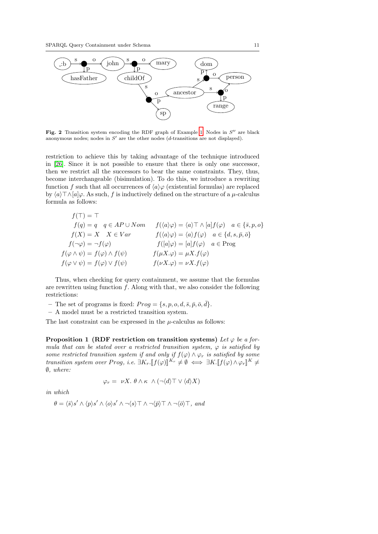

Fig. 2 Transition system encoding the RDF graph of Example 1. Nodes in  $S''$  are black anonymous nodes; nodes in  $S'$  are the other nodes (d-transitions are not displayed).

restriction to achieve this by taking advantage of the technique introduced in [26]. Since it is not possible to ensure that there is only one successor, then we restrict all the successors to bear the same constraints. They, thus, become interchangeable (bisimulation). To do this, we introduce a rewriting function f such that all occurrences of  $\langle a \rangle \varphi$  (existential formulas) are replaced by  $\langle a \rangle \top \wedge [a] \varphi$ . As such, f is inductively defined on the structure of a  $\mu$ -calculus formula as follows:

$$
f(\top) = \top
$$
  
\n
$$
f(q) = q \quad q \in AP \cup Nom
$$
  
\n
$$
f(\langle a \rangle \varphi) = \langle a \rangle \top \wedge [a] f(\varphi) \quad a \in \{\bar{s}, p, o\}
$$
  
\n
$$
f(X) = X \quad X \in Var
$$
  
\n
$$
f(\langle a \rangle \varphi) = \langle a \rangle f(\varphi) \quad a \in \{d, s, \bar{p}, \bar{o}\}
$$
  
\n
$$
f(\neg \varphi) = \neg f(\varphi)
$$
  
\n
$$
f([a] \varphi) = [a] f(\varphi) \quad a \in Prog
$$
  
\n
$$
f(\varphi \wedge \psi) = f(\varphi) \wedge f(\psi)
$$
  
\n
$$
f(\mu X. \varphi) = \mu X. f(\varphi)
$$
  
\n
$$
f(\nu X. \varphi) = \nu X. f(\varphi)
$$

Thus, when checking for query containment, we assume that the formulas are rewritten using function  $f$ . Along with that, we also consider the following restrictions:

- The set of programs is fixed:  $Prog = \{s, p, o, d, \overline{s}, \overline{p}, \overline{o}, \overline{d}\}.$
- A model must be a restricted transition system.

The last constraint can be expressed in the  $\mu$ -calculus as follows:

**Proposition 1 (RDF restriction on transition systems)** Let  $\varphi$  be a formula that can be stated over a restricted transition system,  $\varphi$  is satisfied by some restricted transition system if and only if  $f(\varphi) \wedge \varphi_r$  is satisfied by some transition system over Prog, i.e.  $\exists K_r \llbracket f(\varphi) \rrbracket^{K_r} \neq \emptyset \iff \exists K \llbracket f(\varphi) \wedge \varphi_r \rrbracket^{K} \neq \emptyset$ ∅, where:

$$
\varphi_r = \nu X. \ \theta \wedge \kappa \wedge (\neg \langle d \rangle \top \vee \langle d \rangle X)
$$

in which

$$
\theta = \langle \bar{s} \rangle s' \wedge \langle p \rangle s' \wedge \langle o \rangle s' \wedge \neg \langle s \rangle \top \wedge \neg \langle \bar{p} \rangle \top \wedge \neg \langle \bar{o} \rangle \top, \text{ and}
$$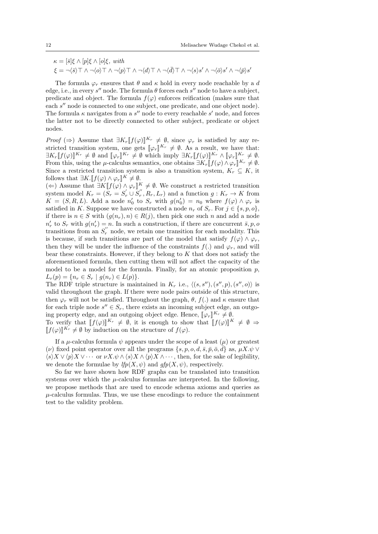$\kappa = [\bar{s}]\xi \wedge [p]\xi \wedge [o]\xi$ , with  $\xi = \neg \langle \bar{s} \rangle \top \wedge \neg \langle o \rangle \top \wedge \neg \langle p \rangle \top \wedge \neg \langle d \rangle \top \wedge \neg \langle \bar{d} \rangle \top \wedge \neg \langle s \rangle s' \wedge \neg \langle \bar{o} \rangle s' \wedge \neg \langle \bar{p} \rangle s'$ 

The formula  $\varphi_r$  ensures that  $\theta$  and  $\kappa$  hold in every node reachable by a d edge, i.e., in every  $s''$  node. The formula  $\theta$  forces each  $s''$  node to have a subject, predicate and object. The formula  $f(\varphi)$  enforces reification (makes sure that each s" node is connected to one subject, one predicate, and one object node). The formula  $\kappa$  navigates from a  $s''$  node to every reachable  $s'$  node, and forces the latter not to be directly connected to other subject, predicate or object nodes.

*Proof* ( $\Rightarrow$ ) Assume that  $\exists K_r[[f(\varphi)]]$ <br>stricted transition system, one gets *Proof*  $(\Rightarrow)$  Assume that  $\exists K_r[[f(\varphi)]]^{K_r} \neq \emptyset$ , since  $\varphi_r$  is satisfied by any restricted transition system, one gets  $[\![\varphi_r]\!]^{K_r} \neq \emptyset$ . As a result, we have that:<br> $\exists K \; [\![f(\alpha)]^{K_r} \neq \emptyset$  and  $[\![\alpha]\!]^{K_r} \neq \emptyset$  which imply  $\exists K \; [\![f(\alpha)]^{K_r} \wedge [\![\alpha]\!]^{K_r} \neq \emptyset$  $\exists K_r \llbracket f(\varphi) \rrbracket^{K_r} \neq \emptyset$  and  $\llbracket \varphi_r \rrbracket^{K_r} \neq \emptyset$  which imply  $\exists K_r \llbracket f(\varphi) \rrbracket^{K_r} \wedge \llbracket \varphi_r \rrbracket^{K_r} \neq \emptyset$ .<br>From this using the *u* colorly somewise, one obtains  $\exists K_r \llbracket f(\varphi) \wedge \varphi_r \rrbracket^{K_r} \neq \emptyset$ . From this, using the  $\mu$ -calculus semantics, one obtains  $\exists K_r \llbracket f(\varphi) \wedge \varphi_r \rrbracket^{K_r} \neq \emptyset$ .<br>Since a restricted transition system is also a transition system  $K \subset K$  it. Since a restricted transition system is also a transition system,  $K_r \subseteq K$ , it follows that  $\exists K . [f(\varphi) \wedge \varphi_r]^{K} \neq \emptyset$ .<br>(  $\leftarrow$ ) Assume that  $\exists K [f(\varphi) \wedge \varphi_r]^{K}$ 

(∈) Assume that  $\exists K \llbracket f(\varphi) \land \varphi_r \rrbracket^K \neq \emptyset$ . We construct a restricted transition with model  $K = (S - S' + S' - R \cdot I)$  and a function  $g: K \to K$  from system model  $K_r = (\overline{S_r} = S'_r \cup \overline{S''_r}, R_r, L_r)$  and a function  $g: K_r \to K$  from  $K = (S, R, L)$ . Add a node  $n'_0$  to  $S_r$  with  $g(n'_0) = n_0$  where  $f(\varphi) \wedge \varphi_r$  is satisfied in K. Suppose we have constructed a node  $n_r$  of  $S_r$ . For  $j \in \{s, p, o\}$ , if there is  $n \in S$  with  $(g(n_r), n) \in R(j)$ , then pick one such n and add a node  $n'_r$  to  $S_r$  with  $g(n'_r) = n$ . In such a construction, if there are concurrent  $\bar{s}, p, o$ transitions from an  $S'_r$  node, we retain one transition for each modality. This is because, if such transitions are part of the model that satisfy  $f(\varphi) \wedge \varphi_r$ , then they will be under the influence of the constraints  $f(.)$  and  $\varphi_r$ , and will bear these constraints. However, if they belong to  $K$  that does not satisfy the aforementioned formula, then cutting them will not affect the capacity of the model to be a model for the formula. Finally, for an atomic proposition  $p$ ,  $L_r(p) = \{n_r \in S_r \mid q(n_r) \in L(p)\}.$ 

The RDF triple structure is maintained in  $K_r$  i.e.,  $\langle (s, s''), (s'', p), (s'', o) \rangle$  is valid throughout the graph. If there were node pairs outside of this structure, then  $\varphi_r$  will not be satisfied. Throughout the graph,  $\theta$ ,  $f(.)$  and  $\kappa$  ensure that for each triple node  $s'' \in S_r$ , there exists an incoming subject edge, an outgoing property edge, and an outgoing object edge. Hence,  $[\varphi_r]^{K_r} \neq \emptyset$ .<br>To verify that  $[\![f(\phi)]\!]^{K_r} \neq \emptyset$  it is enough to show that  $[\![f(\phi)]\!]^{K_r}$ .

To verify that  $[[f(\varphi)]]^{K_r} \neq \emptyset$ , it is enough to show that  $[[f(\varphi)]]^K \neq \emptyset \Rightarrow$ <br> $[[f(\varphi)]]^{K_r} \neq \emptyset$  by induction on the structure of  $f(\varphi)$  $[[f(\varphi)]]^{K_r} \neq \emptyset$  by induction on the structure of  $f(\varphi)$ .

If a  $\mu$ -calculus formula  $\psi$  appears under the scope of a least  $(\mu)$  or greatest (*v*) fixed point operator over all the programs  $\{s, p, o, d, \overline{s}, \overline{p}, \overline{o}, \overline{d}\}$  as,  $\mu X. \psi \vee$  $\langle s \rangle X \vee \langle p \rangle X \vee \cdots$  or  $\nu X.\psi \wedge \langle s \rangle X \wedge \langle p \rangle X \wedge \cdots$ , then, for the sake of legibility, we denote the formulae by  $lfp(X, \psi)$  and  $qfp(X, \psi)$ , respectively.

So far we have shown how RDF graphs can be translated into transition systems over which the  $\mu$ -calculus formulas are interpreted. In the following, we propose methods that are used to encode schema axioms and queries as  $\mu$ -calculus formulas. Thus, we use these encodings to reduce the containment test to the validity problem.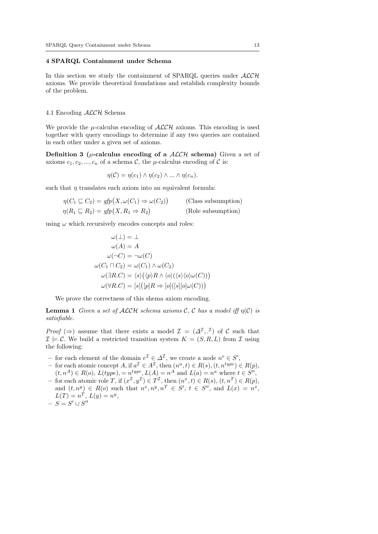#### 4 SPARQL Containment under Schema

In this section we study the containment of SPARQL queries under  $\mathcal{ALCH}$ axioms. We provide theoretical foundations and establish complexity bounds of the problem.

#### 4.1 Encoding ALCH Schema

We provide the  $\mu$ -calculus encoding of  $\mathcal{ALCH}$  axioms. This encoding is used together with query encodings to determine if any two queries are contained in each other under a given set of axioms.

Definition 3 ( $\mu$ -calculus encoding of a  $ALCH$  schema) Given a set of axioms  $c_1, c_2, ..., c_n$  of a schema C, the  $\mu$ -calculus encoding of C is:

$$
\eta(\mathcal{C}) = \eta(c_1) \wedge \eta(c_2) \wedge \ldots \wedge \eta(c_n).
$$

such that  $\eta$  translates each axiom into an equivalent formula:

$$
\eta(C_1 \sqsubseteq C_2) = gfp(X, \omega(C_1) \Rightarrow \omega(C_2))
$$
 (Class subsumption)  

$$
\eta(R_1 \sqsubseteq R_2) = gfp(X, R_1 \Rightarrow R_2)
$$
 (Role subsumption)

using  $\omega$  which recursively encodes concepts and roles:

$$
\omega(\bot) = \bot
$$
  
\n
$$
\omega(A) = A
$$
  
\n
$$
\omega(\neg C) = \neg \omega(C)
$$
  
\n
$$
\omega(C_1 \sqcap C_2) = \omega(C_1) \land \omega(C_2)
$$
  
\n
$$
\omega(\exists R.C) = \langle s \rangle (\langle p \rangle R \land \langle o \rangle(\langle s \rangle \langle o \rangle \omega(C)))
$$
  
\n
$$
\omega(\forall R.C) = [s] ([p]R \Rightarrow [o]([s][o] \omega(C)))
$$

We prove the correctness of this shema axiom encoding.

**Lemma 1** Given a set of ALCH schema axioms C, C has a model iff  $\eta(\mathcal{C})$  is satisfiable.

*Proof*  $(\Rightarrow)$  assume that there exists a model  $\mathcal{I} = (\Delta^{\mathcal{I}}, \mathcal{I})$  of C such that  $\mathcal{I} \models \mathcal{C}$ . We build a restricted transition system  $K = (S, R, L)$  from  $\mathcal{I}$  using the following:

- − for each element of the domain  $e^{\mathcal{I}} \in \Delta^{\mathcal{I}}$ , we create a node  $n^e \in S'$ ,
- − for each atomic concept A, if  $a^{\mathcal{I}} \in A^{\mathcal{I}}$ , then  $(n^a, t) \in R(s)$ ,  $(t, n^{type}) \in R(p)$ ,  $(t, n^A) \in R(o)$ ,  $L(type) = n^{type}, L(A) = n^A$  and  $L(a) = n^a$  where  $t \in S''$ ,
- for each atomic role T, if  $(x^{\mathcal{I}}, y^{\mathcal{I}}) \in T^{\mathcal{I}}$ , then  $(n^x, t) \in R(s)$ ,  $(t, n^T) \in R(p)$ , and  $(t, n^y) \in R(o)$  such that  $n^x, n^y, n^T \in S'$ ,  $t \in S''$ , and  $L(x) = n^x$ ,  $L(T) = n^T, L(y) = n^y,$
- $S = S' \cup S''$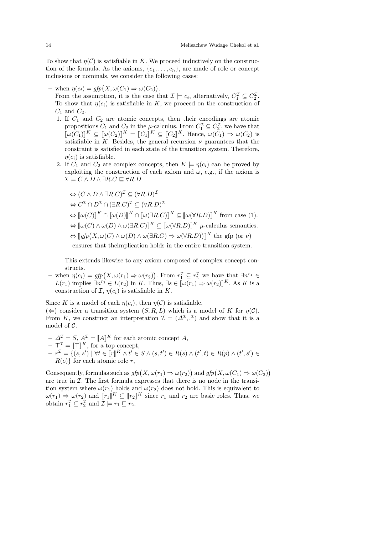To show that  $\eta(\mathcal{C})$  is satisfiable in K. We proceed inductively on the construction of the formula. As the axioms,  $\{c_1, \ldots, c_n\}$ , are made of role or concept inclusions or nominals, we consider the following cases:

- when  $\eta(c_i) = gfp(X, \omega(C_1) \Rightarrow \omega(C_2)).$ From the assumption, it is the case that  $\mathcal{I} \models c_i$ , alternatively,  $C_1^{\mathcal{I}} \subseteq C_2^{\mathcal{I}}$ . To show that  $\eta(c_i)$  is satisfiable in K, we proceed on the construction of  $C_1$  and  $C_2$ .

- 1. If  $C_1$  and  $C_2$  are atomic concepts, then their encodings are atomic propositions  $C_1$  and  $C_2$  in the  $\mu$ -calculus. From  $C_1^{\mathcal{I}} \subseteq C_2^{\mathcal{I}}$ , we have that  $[\![\omega(C_1)]\!]^K \subseteq [\![\omega(C_2)]\!]^K = [\![C_1]\!]^K \subseteq [\![C_2]\!]^K$ . Hence,  $\omega(C_1) \Rightarrow \omega(C_2)$  is<br>satisfiable in K. Bosides, the general requirem *u* guarantees that the satisfiable in K. Besides, the general recursion  $\nu$  guarantees that the constraint is satisfied in each state of the transition system. Therefore,  $\eta(c_i)$  is satisfiable.
- 2. If  $C_1$  and  $C_2$  are complex concepts, then  $K \models \eta(c_i)$  can be proved by exploiting the construction of each axiom and  $\omega$ , e.g., if the axiom is  $\mathcal{I} \models C \land D \land \exists R.C \sqsubseteq \forall R.D$

$$
\Leftrightarrow (C \wedge D \wedge \exists R.C)^{\mathcal{I}} \subseteq (\forall R.D)^{\mathcal{I}}
$$
  
\n
$$
\Leftrightarrow C^{\mathcal{I}} \cap D^{\mathcal{I}} \cap (\exists R.C)^{\mathcal{I}} \subseteq (\forall R.D)^{\mathcal{I}}
$$
  
\n
$$
\Leftrightarrow [\![\omega(C)]\!]^{K} \cap [\![\omega(D)]\!]^{K} \cap [\![\omega(\exists R.C)]\!]^{K} \subseteq [\![\omega(\forall R.D)]\!]^{K} \text{ from case (1).}
$$
  
\n
$$
\Leftrightarrow [\![\omega(C) \wedge \omega(D) \wedge \omega(\exists R.C)]\!]^{K} \subseteq [\![\omega(\forall R.D)]\!]^{K} \text{ $\mu$-calculus semantics.}
$$
  
\n
$$
\Leftrightarrow [\![gfp(X, \omega(C) \wedge \omega(D) \wedge \omega(\exists R.C)] \Rightarrow \omega(\forall R.D))]^K \text{ the gfp (or $\nu$) ensures that theimplication holds in the entire transition system.
$$

This extends likewise to any axiom composed of complex concept constructs.

- when  $\eta(c_i) = gfp(X, \omega(r_1) \Rightarrow \omega(r_2))$ . From  $r_1^{\mathcal{I}} \subseteq r_2^{\mathcal{I}}$  we have that  $\exists n^{r_1} \in$  $L(r_1)$  implies  $\exists n^{r_2} \in L(r_2)$  in K. Thus,  $\exists s \in [\![\omega(r_1) \Rightarrow \omega(r_2)]\!]^K$ . As K is a construction of  $\mathcal{T}$ ,  $n(c_1)$  is satisfiable in K construction of  $\mathcal{I}, \eta(c_i)$  is satisfiable in K.

Since K is a model of each  $\eta(c_i)$ , then  $\eta(\mathcal{C})$  is satisfiable.  $(\Leftarrow)$  consider a transition system  $(S, R, L)$  which is a model of K for  $\eta(\mathcal{C})$ . From K, we construct an interpretation  $\mathcal{I} = (\Delta^{\mathcal{I}}, \cdot^{\mathcal{I}})$  and show that it is a model of  $\mathcal{C}$ .

 $\Delta^{\mathcal{I}} = S, A^{\mathcal{I}} = [\![A]\!]^K$  for each atomic concept A,<br> $\tau^{\mathcal{I}} = \top \top^{\mathcal{I}} K$  for a top separat  $\begin{aligned} -\top^{\mathcal{I}} &= [\![\top]\!]^K, \text{ for a top concept,} \\ -\mathbb{E}^{I} &= \{(e, e') \mid \forall t \in [\![x]\!]^K \wedge t' \in \mathbb{E}^{I} \end{aligned}$  $\begin{aligned} -r^{\mathcal{I}} &= \{(s, s') \mid \forall t \in \llbracket r \rrbracket^K \land t' \in S \land (s, t') \in R(s) \land (t', t) \in R(p) \land (t', s') \in R(\alpha) \} \text{ for each atomic role } r. \end{aligned}$  $R(o)$  for each atomic role r,

Consequently, formulas such as  $gfp(X, \omega(r_1) \Rightarrow \omega(r_2))$  and  $gfp(X, \omega(C_1) \Rightarrow \omega(C_2))$ are true in  $\mathcal I$ . The first formula expresses that there is no node in the transition system where  $\omega(r_1)$  holds and  $\omega(r_2)$  does not hold. This is equivalent to  $\omega(r_1) \Rightarrow \omega(r_2)$  and  $[\![r_1]\!]^K \subseteq [\![r_2]\!]^K$  since  $r_1$  and  $r_2$  are basic roles. Thus, we obtain  $r^{\mathcal{I}} \subset r^{\mathcal{I}}$  and  $\mathcal{T} \models r_1 \sqsubset r_2$ . obtain  $r_1^{\mathcal{I}} \subseteq r_2^{\mathcal{I}}$  and  $\mathcal{I} \models r_1 \sqsubseteq r_2$ .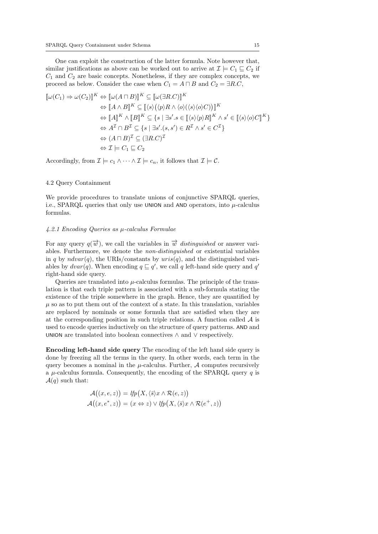One can exploit the construction of the latter formula. Note however that, similar justifications as above can be worked out to arrive at  $\mathcal{I} \models C_1 \sqsubseteq C_2$  if  $C_1$  and  $C_2$  are basic concepts. Nonetheless, if they are complex concepts, we proceed as below. Consider the case when  $C_1 = A \sqcap B$  and  $C_2 = \exists R.C$ ,

$$
\llbracket \omega(C_1) \Rightarrow \omega(C_2) \rrbracket^K \Leftrightarrow \llbracket \omega(A \sqcap B) \rrbracket^K \subseteq \llbracket \omega(\exists R.C) \rrbracket^K
$$
  
\n
$$
\Leftrightarrow \llbracket A \wedge B \rrbracket^K \subseteq \llbracket \langle s \rangle \langle \langle p \rangle R \wedge \langle o \rangle (\langle s \rangle \langle o \rangle C) \rrbracket \rrbracket^K
$$
  
\n
$$
\Leftrightarrow \llbracket A \rrbracket^K \wedge \llbracket B \rrbracket^K \subseteq \{ s \mid \exists s'. s \in \llbracket \langle s \rangle \langle p \rangle R \rrbracket^K \wedge s' \in \llbracket \langle s \rangle \langle o \rangle C \rrbracket^K \}
$$
  
\n
$$
\Leftrightarrow A^T \cap B^T \subseteq \{ s \mid \exists s'. (s, s') \in R^T \wedge s' \in C^T \}
$$
  
\n
$$
\Leftrightarrow (A \sqcap B)^T \subseteq (\exists R.C)^T
$$
  
\n
$$
\Leftrightarrow \mathcal{I} \models C_1 \sqsubseteq C_2
$$

Accordingly, from  $\mathcal{I} \models c_1 \land \cdots \land \mathcal{I} \models c_n$ , it follows that  $\mathcal{I} \models \mathcal{C}$ .

#### 4.2 Query Containment

We provide procedures to translate unions of conjunctive SPARQL queries, i.e., SPARQL queries that only use UNION and AND operators, into  $\mu$ -calculus formulas.

#### 4.2.1 Encoding Queries as µ-calculus Formulae

For any query  $q(\vec{w})$ , we call the variables in  $\vec{w}$  distinguished or answer variables. Furthermore, we denote the non-distinguished or existential variables in q by  $ndvar(q)$ , the URIs/constants by  $uris(q)$ , and the distinguished variables by  $dvar(q)$ . When encoding  $q \sqsubseteq q'$ , we call q left-hand side query and q' right-hand side query.

Queries are translated into  $\mu$ -calculus formulas. The principle of the translation is that each triple pattern is associated with a sub-formula stating the existence of the triple somewhere in the graph. Hence, they are quantified by  $\mu$  so as to put them out of the context of a state. In this translation, variables are replaced by nominals or some formula that are satisfied when they are at the corresponding position in such triple relations. A function called  $A$  is used to encode queries inductively on the structure of query patterns. AND and UNION are translated into boolean connectives ∧ and ∨ respectively.

Encoding left-hand side query The encoding of the left hand side query is done by freezing all the terms in the query. In other words, each term in the query becomes a nominal in the  $\mu$ -calculus. Further,  $\mathcal A$  computes recursively a  $\mu$ -calculus formula. Consequently, the encoding of the SPARQL query q is  $\mathcal{A}(q)$  such that:

$$
\mathcal{A}((x,e,z)) = lfp(X,\langle \bar{s} \rangle x \wedge \mathcal{R}(e,z))
$$

$$
\mathcal{A}((x,e^*,z)) = (x \Leftrightarrow z) \vee lfp(X,\langle \bar{s} \rangle x \wedge \mathcal{R}(e^+,z))
$$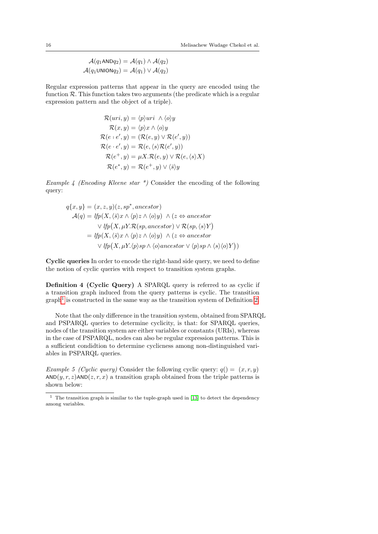$$
\mathcal{A}(q_1 \text{AND} q_2) = \mathcal{A}(q_1) \land \mathcal{A}(q_2)
$$

$$
\mathcal{A}(q_1 \text{UNION} q_2) = \mathcal{A}(q_1) \lor \mathcal{A}(q_2)
$$

Regular expression patterns that appear in the query are encoded using the function  $\mathcal{R}$ . This function takes two arguments (the predicate which is a regular expression pattern and the object of a triple).

$$
\mathcal{R}(uri, y) = \langle p \rangle uri \land \langle o \rangle y
$$
  
\n
$$
\mathcal{R}(x, y) = \langle p \rangle x \land \langle o \rangle y
$$
  
\n
$$
\mathcal{R}(e \cdot e', y) = (\mathcal{R}(e, y) \lor \mathcal{R}(e', y))
$$
  
\n
$$
\mathcal{R}(e \cdot e', y) = \mathcal{R}(e, \langle s \rangle \mathcal{R}(e', y))
$$
  
\n
$$
\mathcal{R}(e^+, y) = \mu X. \mathcal{R}(e, y) \lor \mathcal{R}(e, \langle s \rangle X)
$$
  
\n
$$
\mathcal{R}(e^*, y) = \mathcal{R}(e^+, y) \lor \langle \bar{s} \rangle y
$$

Example 4 (Encoding Kleene star  $*$ ) Consider the encoding of the following query:

$$
q\{x, y\} = (x, z, y)(z, sp^*, ancestor)
$$
  
\n
$$
\mathcal{A}(q) = lfp(X, \langle \bar{s} \rangle x \land \langle p \rangle z \land \langle o \rangle y) \land (z \Leftrightarrow ancestor
$$
  
\n
$$
\lor lfp(X, \mu Y.R(sp, ancestor) \lor R(sp, \langle s \rangle Y)
$$
  
\n
$$
= lfp(X, \langle \bar{s} \rangle x \land \langle p \rangle z \land \langle o \rangle y) \land (z \Leftrightarrow ancestor
$$
  
\n
$$
\lor lfp(X, \mu Y.\langle p \rangle sp \land \langle o \rangle ancestor \lor \langle p \rangle sp \land \langle s \rangle \langle o \rangle Y))
$$

Cyclic queries In order to encode the right-hand side query, we need to define the notion of cyclic queries with respect to transition system graphs.

Definition 4 (Cyclic Query) A SPARQL query is referred to as cyclic if a transition graph induced from the query patterns is cyclic. The transition  $graph<sup>1</sup>$  is constructed in the same way as the transition system of Definition 2.

Note that the only difference in the transition system, obtained from SPARQL and PSPARQL queries to determine cyclicity, is that: for SPARQL queries, nodes of the transition system are either variables or constants (URIs), whereas in the case of PSPARQL, nodes can also be regular expression patterns. This is a sufficient condidtion to determine cyclicness among non-distinguished variables in PSPARQL queries.

Example 5 (Cyclic query) Consider the following cyclic query:  $q() = (x, r, y)$  $AND(y, r, z)AND(z, r, x)$  a transition graph obtained from the triple patterns is shown below:

 $^{\rm 1}$  The transition graph is similar to the tuple-graph used in [13] to detect the dependency among variables.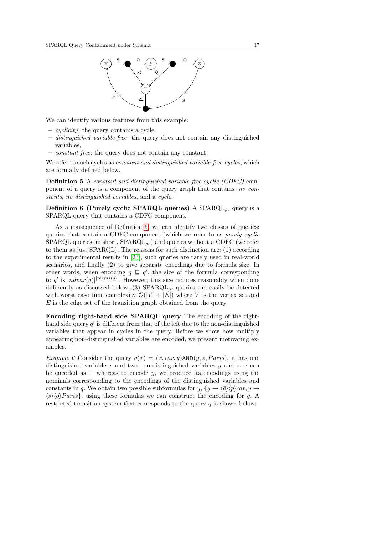

We can identify various features from this example:

- $\overline{\phantom{a}}$  *cyclicity*: the query contains a cycle,
- distinguished variable-free: the query does not contain any distinguished variables,
- constant-free: the query does not contain any constant.

We refer to such cycles as *constant and distinguished variable-free cycles*, which are formally defined below.

Definition 5 A constant and distinguished variable-free cyclic (CDFC) component of a query is a component of the query graph that contains: no constants, no distinguished variables, and a cycle.

Definition 6 (Purely cyclic SPARQL queries) A SPARQL<sub>pc</sub> query is a SPARQL query that contains a CDFC component.

As a consequence of Definition 5, we can identify two classes of queries: queries that contain a CDFC component (which we refer to as purely cyclic SPARQL queries, in short,  $SPARQL_{pc}$ ) and queries without a CDFC (we refer to them as just SPARQL). The reasons for such distinction are: (1) according to the experimental results in [23], such queries are rarely used in real-world scenarios, and finally (2) to give separate encodings due to formula size. In other words, when encoding  $q \subseteq q'$ , the size of the formula corresponding to q' is  $|ndvar(q)|^{|terms(q)|}$ . However, this size reduces reasonably when done differently as discussed below. (3)  $SPARQL_{pc}$  queries can easily be detected with worst case time complexity  $\mathcal{O}(|V| + |E|)$  where V is the vertex set and  $E$  is the edge set of the transition graph obtained from the query,

Encoding right-hand side SPARQL query The encoding of the righthand side query  $q'$  is different from that of the left due to the non-distinguished variables that appear in cycles in the query. Before we show how multiply appearing non-distinguished variables are encoded, we present motivating examples.

Example 6 Consider the query  $q(x) = (x, car, y)$ AND $(y, z, Paris)$ , it has one distinguished variable x and two non-distinguished variables y and z. z can be encoded as  $\top$  whereas to encode y, we produce its encodings using the nominals corresponding to the encodings of the distinguished variables and constants in q. We obtain two possible subformulas for  $y, \{y \to \langle \bar{\sigma} \rangle \langle p \rangle \langle \bar{\sigma} x, y \to \rangle \}$  $\langle s \rangle \langle o \rangle Paris$ , using these formulas we can construct the encoding for q. A restricted transition system that corresponds to the query  $q$  is shown below: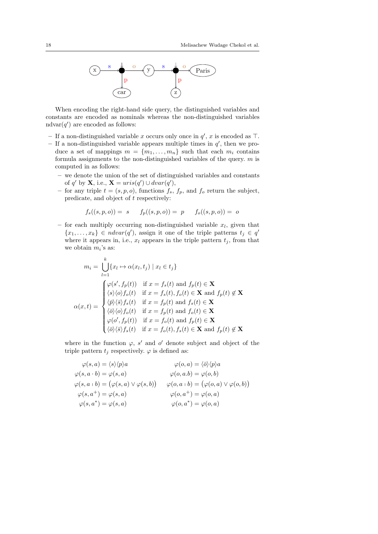

When encoding the right-hand side query, the distinguished variables and constants are encoded as nominals whereas the non-distinguished variables ndvar $(q')$  are encoded as follows:

- If a non-distinguished variable x occurs only once in  $q'$ , x is encoded as  $\top$ .
- $-$  If a non-distinguished variable appears multiple times in  $q'$ , then we produce a set of mappings  $m = \{m_1, \ldots, m_n\}$  such that each  $m_i$  contains formula assignments to the non-distinguished variables of the query.  $m$  is computed in as follows:
	- we denote the union of the set of distinguished variables and constants of q' by **X**, i.e.,  $\mathbf{X} = uris(q') \cup dvar(q'),$
	- for any triple  $t = (s, p, o)$ , functions  $f_s$ ,  $f_p$ , and  $f_o$  return the subject, predicate, and object of t respectively:

$$
f_s((s, p, o)) = s \t f_p((s, p, o)) = p \t f_o((s, p, o)) = o
$$

– for each multiply occurring non-distinguished variable  $x_l$ , given that  ${x_1, \ldots, x_k} \in \textit{ndvar}(q')$ , assign it one of the triple patterns  $t_j \in q'$ where it appears in, i.e.,  $x_l$  appears in the triple pattern  $t_j$ , from that we obtain  $m_i$ 's as:

$$
m_i = \bigcup_{l=1}^k \{x_l \mapsto \alpha(x_l, t_j) \mid x_l \in t_j\}
$$

$$
\alpha(x, t) = \begin{cases} \varphi(s', f_p(t)) & \text{if } x = f_s(t) \text{ and } f_p(t) \in \mathbf{X} \\ \langle s \rangle \langle o \rangle f_o(t) & \text{if } x = f_s(t), f_o(t) \in \mathbf{X} \text{ and } f_p(t) \notin \mathbf{X} \\ \langle \bar{p} \rangle \langle \bar{s} \rangle f_s(t) & \text{if } x = f_p(t) \text{ and } f_s(t) \in \mathbf{X} \\ \langle \bar{o} \rangle \langle o \rangle f_o(t) & \text{if } x = f_p(t) \text{ and } f_o(t) \in \mathbf{X} \\ \varphi(o', f_p(t)) & \text{if } x = f_o(t) \text{ and } f_p(t) \in \mathbf{X} \\ \langle \bar{o} \rangle \langle \bar{s} \rangle f_s(t) & \text{if } x = f_o(t), f_s(t) \in \mathbf{X} \text{ and } f_p(t) \notin \mathbf{X} \end{cases}
$$

where in the function  $\varphi$ , s' and o' denote subject and object of the triple pattern  $t_j$  respectively.  $\varphi$  is defined as:

$$
\varphi(s, a) = \langle s \rangle \langle p \rangle a \qquad \varphi(o, a) = \langle \overline{o} \rangle \langle p \rangle a \n\varphi(s, a \cdot b) = \varphi(s, a) \qquad \varphi(o, a.b) = \varphi(o, b) \n\varphi(s, a + b) = (\varphi(s, a) \vee \varphi(s, b)) \qquad \varphi(o, a + b) = (\varphi(o, a) \vee \varphi(o, b)) \n\varphi(s, a^+) = \varphi(s, a) \qquad \varphi(o, a^+) = \varphi(o, a) \n\varphi(s, a^*) = \varphi(s, a) \qquad \varphi(o, a^*) = \varphi(o, a)
$$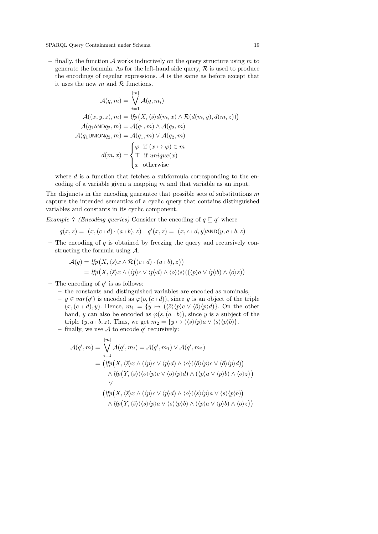– finally, the function  $A$  works inductively on the query structure using  $m$  to generate the formula. As for the left-hand side query,  $R$  is used to produce the encodings of regular expressions.  $A$  is the same as before except that it uses the new  $m$  and  $R$  functions.

$$
\mathcal{A}(q,m) = \bigvee_{i=1}^{|m|} \mathcal{A}(q,m_i)
$$

$$
\mathcal{A}((x,y,z),m) = lp(X, \langle \bar{s} \rangle d(m,x) \land \mathcal{R}(d(m,y),d(m,z)))
$$

$$
\mathcal{A}(q_1 \land \land p_2, m) = \mathcal{A}(q_1, m) \land \mathcal{A}(q_2, m)
$$

$$
\mathcal{A}(q_1 \lor \land p_2, m) = \mathcal{A}(q_1, m) \lor \mathcal{A}(q_2, m)
$$

$$
d(m,x) = \begin{cases} \varphi & \text{if } (x \mapsto \varphi) \in m \\ \top & \text{if } unique(x) \\ x & \text{otherwise} \end{cases}
$$

where  $d$  is a function that fetches a subformula corresponding to the encoding of a variable given a mapping  $m$  and that variable as an input.

The disjuncts in the encoding guarantee that possible sets of substitutions  $m$ capture the intended semantics of a cyclic query that contains distinguished variables and constants in its cyclic component.

*Example 7 (Encoding queries)* Consider the encoding of  $q \sqsubseteq q'$  where

$$
q(x, z) = (x, (c+d) \cdot (a+b), z) \quad q'(x, z) = (x, c+d, y) \text{AND}(y, a+b, z)
$$

 $-$  The encoding of  $q$  is obtained by freezing the query and recursively constructing the formula using A.

$$
\mathcal{A}(q) = lfp(X, \langle \bar{s} \rangle x \wedge \mathcal{R}((c+d) \cdot (a+b), z))
$$
  
=  $lfp(X, \langle \bar{s} \rangle x \wedge (\langle p \rangle c \vee \langle p \rangle d) \wedge \langle o \rangle \langle s \rangle ((\langle p \rangle a \vee \langle p \rangle b) \wedge \langle o \rangle z))$ 

- The encoding of  $q'$  is as follows:

- the constants and distinguished variables are encoded as nominals,
- $-y \in var(q')$  is encoded as  $\varphi(o, (c \mid d))$ , since y is an object of the triple  $(x,(c+d), y)$ . Hence,  $m_1 = \{y \mapsto (\langle \overline{\partial} \rangle \langle p \rangle c \vee \langle \overline{\partial} \rangle \langle p \rangle d)\}.$  On the other hand, y can also be encoded as  $\varphi(s,(a \cdot b))$ , since y is a subject of the triple  $(y, a + b, z)$ . Thus, we get  $m_2 = \{y \mapsto (\langle s \rangle \langle p \rangle a \vee \langle s \rangle \langle p \rangle b)\}.$
- finally, we use  $A$  to encode  $q'$  recursively:

$$
\mathcal{A}(q', m) = \bigvee_{i=1}^{|m|} \mathcal{A}(q', m_i) = \mathcal{A}(q', m_1) \vee \mathcal{A}(q', m_2)
$$
  
\n
$$
= (\mathit{lfp}(X, \langle \bar{s} \rangle x \wedge (\langle p \rangle c \vee \langle p \rangle d) \wedge \langle o \rangle (\langle \bar{o} \rangle \langle p \rangle c \vee \langle \bar{o} \rangle \langle p \rangle d))
$$
  
\n
$$
\wedge \mathit{lfp}(Y, \langle \bar{s} \rangle (\langle \bar{o} \rangle \langle p \rangle c \vee \langle \bar{o} \rangle \langle p \rangle d) \wedge (\langle p \rangle a \vee \langle p \rangle b) \wedge \langle o \rangle z))
$$
  
\n
$$
= (\mathit{lfp}(X, \langle \bar{s} \rangle x \wedge (\langle p \rangle c \vee \langle p \rangle d) \wedge \langle o \rangle (\langle s \rangle \langle p \rangle a \vee \langle s \rangle \langle p \rangle b)) \wedge (\mathit{lfp}(Y, \langle \bar{s} \rangle \langle \langle s \rangle \langle p \rangle a \vee \langle s \rangle \langle p \rangle b) \wedge \langle o \rangle z))
$$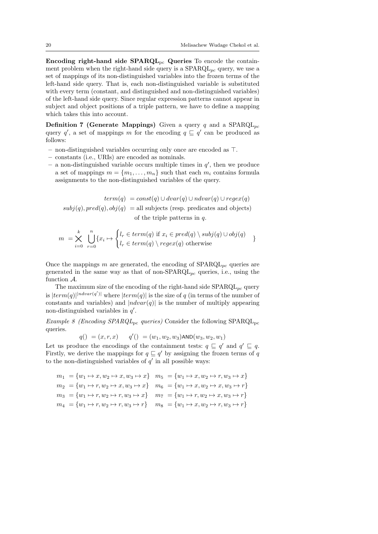Encoding right-hand side  $SPARQL_{pc}$  Queries To encode the containment problem when the right-hand side query is a  $SPARQL_{pc}$  query, we use a set of mappings of its non-distinguished variables into the frozen terms of the left-hand side query. That is, each non-distinguished variable is substituted with every term (constant, and distinguished and non-distinguished variables) of the left-hand side query. Since regular expression patterns cannot appear in subject and object positions of a triple pattern, we have to define a mapping which takes this into account.

**Definition 7 (Generate Mappings)** Given a query q and a  $SPARQL_{pc}$ query q', a set of mappings m for the encoding  $q \sqsubseteq q'$  can be produced as follows:

- non-distinguished variables occurring only once are encoded as  $\top$ .
- constants (i.e., URIs) are encoded as nominals.
- a non-distinguished variable occurs multiple times in  $q'$ , then we produce a set of mappings  $m = \{m_1, \ldots, m_n\}$  such that each  $m_i$  contains formula assignments to the non-distinguished variables of the query.

 $term(q) = const(q) \cup dvar(q) \cup ndvar(q) \cup regex(q)$  $subj(q), pred(q), obj(q) = all subjects$  (resp. predicates and objects) of the triple patterns in  $q$ .

$$
m = \bigtimes_{i=0}^{k} \bigcup_{r=0}^{n} \{x_i \mapsto \begin{cases} l_r \in term(q) \text{ if } x_i \in pred(q) \setminus subj(q) \cup obj(q) \\ l_r \in term(q) \setminus regex(q) \text{ otherwise} \end{cases} \}
$$

Once the mappings m are generated, the encoding of  $SPARQL_{pc}$  queries are generated in the same way as that of non- $SPARQL_{pc}$  queries, i.e., using the function A.

The maximum size of the encoding of the right-hand side  $SPARQL_{pc}$  query is  $|term(q)|^{|ndvar(q')|}$  where  $|term(q)|$  is the size of q (in terms of the number of constants and variables) and  $|ndvar(q)|$  is the number of multiply appearing non-distinguished variables in  $q'$ .

Example 8 (Encoding SPARQL<sub>pc</sub> queries) Consider the following SPARQL<sub>pc</sub> queries.

$$
q() = (x, r, x) \qquad q') = (w_1, w_2, w_3) \text{AND}(w_3, w_2, w_1)
$$

Let us produce the encodings of the containment tests:  $q \subseteq q'$  and  $q' \subseteq q$ . Firstly, we derive the mappings for  $q \sqsubseteq q'$  by assigning the frozen terms of q to the non-distinguished variables of  $q'$  in all possible ways:

|  | $m_1 = \{w_1 \mapsto x, w_2 \mapsto x, w_3 \mapsto x\}$ $m_5 = \{w_1 \mapsto x, w_2 \mapsto r, w_3 \mapsto x\}$     |
|--|---------------------------------------------------------------------------------------------------------------------|
|  | $m_2 = \{w_1 \mapsto r, w_2 \mapsto x, w_3 \mapsto x\}$ $m_6 = \{w_1 \mapsto x, w_2 \mapsto x, w_3 \mapsto r\}$     |
|  | $m_3 = \{w_1 \mapsto r, w_2 \mapsto r, w_3 \mapsto x\}$ $m_7 = \{w_1 \mapsto r, w_2 \mapsto x, w_3 \mapsto r\}$     |
|  | $m_4 = \{w_1 \mapsto r, w_2 \mapsto r, w_3 \mapsto r\} \quad m_8 = \{w_1 \mapsto x, w_2 \mapsto r, w_3 \mapsto r\}$ |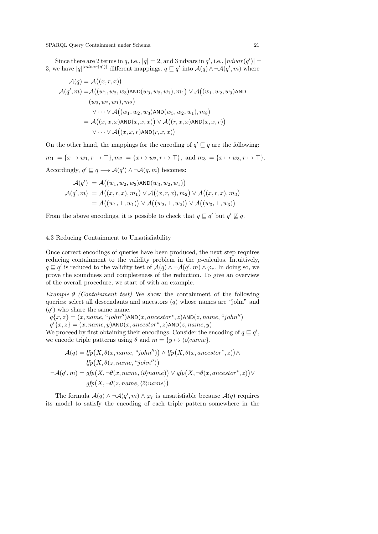Since there are 2 terms in q, i.e.,  $|q| = 2$ , and 3 ndvars in q', i.e.,  $|ndvar(q')| =$ 3, we have  $|q|^{ndvar(q')\dagger}$  different mappings.  $q \sqsubseteq q'$  into  $\mathcal{A}(q) \wedge \neg \mathcal{A}(q', m)$  where

$$
\mathcal{A}(q) = \mathcal{A}((x, r, x))
$$
  
\n
$$
\mathcal{A}(q', m) = \mathcal{A}((w_1, w_2, w_3) \text{AND}(w_3, w_2, w_1), m_1) \lor \mathcal{A}((w_1, w_2, w_3) \text{AND}(w_3, w_2, w_1), m_2)
$$
  
\n
$$
\lor \cdots \lor \mathcal{A}((w_1, w_2, w_3) \text{AND}(w_3, w_2, w_1), m_8)
$$
  
\n
$$
= \mathcal{A}((x, x, x) \text{AND}(x, x, x)) \lor \mathcal{A}((r, x, x) \text{AND}(x, x, r))
$$
  
\n
$$
\lor \cdots \lor \mathcal{A}((x, x, r) \text{AND}(r, x, x))
$$

On the other hand, the mappings for the encoding of  $q' \sqsubseteq q$  are the following:  $m_1 = \{x \mapsto w_1, r \mapsto \top\}, m_2 = \{x \mapsto w_2, r \mapsto \top\}, \text{ and } m_3 = \{x \mapsto w_3, r \mapsto \top\}.$ Accordingly,  $q' \sqsubseteq q \longrightarrow \mathcal{A}(q') \wedge \neg \mathcal{A}(q,m)$  becomes:

$$
\mathcal{A}(q') = \mathcal{A}((w_1, w_2, w_3) \text{AND}(w_3, w_2, w_1))
$$

$$
\mathcal{A}(q', m) = \mathcal{A}((x, r, x), m_1) \lor \mathcal{A}((x, r, x), m_2) \lor \mathcal{A}((x, r, x), m_3))
$$

$$
= \mathcal{A}((w_1, \top, w_1)) \lor \mathcal{A}((w_2, \top, w_2)) \lor \mathcal{A}((w_3, \top, w_3))
$$

From the above encodings, it is possible to check that  $q \sqsubseteq q'$  but  $q' \not\sqsubseteq q$ .

#### 4.3 Reducing Containment to Unsatisfiability

Once correct encodings of queries have been produced, the next step requires reducing containment to the validity problem in the  $\mu$ -calculus. Intuitively,  $q \sqsubseteq q'$  is reduced to the validity test of  $\mathcal{A}(q) \wedge \neg \mathcal{A}(q', m) \wedge \varphi_r$ . In doing so, we prove the soundness and completeness of the reduction. To give an overview of the overall procedure, we start of with an example.

Example 9 (Containment test) We show the containment of the following queries: select all descendants and ancestors  $(q)$  whose names are "john" and  $(q')$  who share the same name.

 $q\{x,z\} = (x, name, "john")AND(x, ancestor^*, z)AND(z, name, "john")$ 

 $q'\{x,z\} = (x, name, y)$ AND $(x, ancestor^*, z)$ AND $(z, name, y)$ 

We proceed by first obtaining their encodings. Consider the encoding of  $q \sqsubseteq q'$ , we encode triple patterns using  $\theta$  and  $m = \{y \mapsto \langle \bar{\sigma} \rangle name\}.$ 

$$
\mathcal{A}(q) = lfp(X, \theta(x, name, "john")) \land lfp(X, \theta(x, ancestor^*, z)) \land
$$
  
\n
$$
lfp(X, \theta(z, name, "john"))
$$
  
\n
$$
\neg \mathcal{A}(q', m) = gfp(X, \neg \theta(x, name, \langle \overline{o} \rangle name)) \lor gfp(X, \neg \theta(x, ancestor^*, z)) \lor
$$
  
\n
$$
gfp(X, \neg \theta(z, name, \langle \overline{o} \rangle name))
$$

The formula  $\mathcal{A}(q) \wedge \neg \mathcal{A}(q',m) \wedge \varphi_r$  is unsatisfiable because  $\mathcal{A}(q)$  requires its model to satisfy the encoding of each triple pattern somewhere in the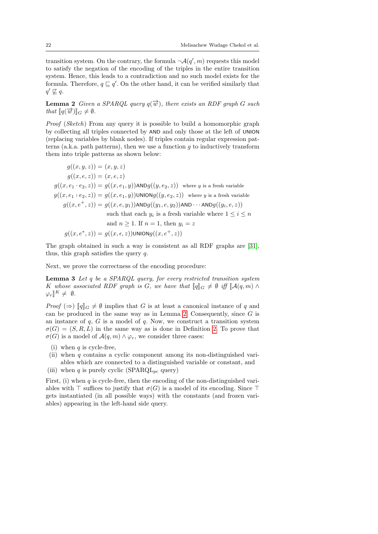transition system. On the contrary, the formula  $\neg A(q', m)$  requests this model to satisfy the negation of the encoding of the triples in the entire transition system. Hence, this leads to a contradiction and no such model exists for the formula. Therefore,  $q \sqsubseteq q'$ . On the other hand, it can be verified similarly that  $q' \not\sqsubseteq q$ .

**Lemma 2** Given a SPARQL query  $q(\vec{w})$ , there exists an RDF graph G such that  $\llbracket q(\vec{w}) \rrbracket_G \neq \emptyset$ .

Proof (Sketch) From any query it is possible to build a homomorphic graph by collecting all triples connected by AND and only those at the left of UNION (replacing variables by blank nodes). If triples contain regular expression patterns (a.k.a. path patterns), then we use a function  $g$  to inductively transform them into triple patterns as shown below:

$$
g((x, y, z)) = (x, y, z)
$$
  
\n
$$
g((x, e, z)) = (x, e, z)
$$
  
\n
$$
g((x, e_1 \cdot e_2, z)) = g((x, e_1, y)) \text{AND} g((y, e_2, z)) \text{ where } y \text{ is a fresh variable}
$$
  
\n
$$
g((x, e_1 \cdot e_2, z)) = g((x, e_1, y)) \text{UNION} g((y, e_2, z)) \text{ where } y \text{ is a fresh variable}
$$
  
\n
$$
g((x, e^+, z)) = g((x, e, y_1)) \text{AND} g((y_1, e, y_2)) \text{AND} \cdots \text{AND} g((y_i, e, z))
$$
  
\nsuch that each  $y_i$  is a fresh variable where  $1 \le i \le n$   
\nand  $n \ge 1$ . If  $n = 1$ , then  $y_i = z$   
\n
$$
g((x, e^*, z)) = g((x, e, z)) \text{UNION} g((x, e^+, z))
$$

The graph obtained in such a way is consistent as all RDF graphs are [31], thus, this graph satisfies the query q.

Next, we prove the correctness of the encoding procedure:

Lemma 3 Let q be a SPARQL query, for every restricted transition system K whose associated RDF graph is G, we have that  $\llbracket q \rrbracket_G \neq \emptyset$  iff  $\llbracket \mathcal{A}(q,m) \wedge$  $\varphi_r \rrbracket^K \neq \emptyset.$ 

*Proof*  $(\Rightarrow)$  [q]<sub>G</sub>  $\neq$  Ø implies that G is at least a canonical instance of q and can be produced in the same way as in Lemma 2. Consequently, since  $G$  is an instance of  $q$ ,  $G$  is a model of  $q$ . Now, we construct a transition system  $\sigma(G) = (S, R, L)$  in the same way as is done in Definition 2. To prove that  $\sigma(G)$  is a model of  $\mathcal{A}(q,m) \wedge \varphi_r$ , we consider three cases:

- (i) when  $q$  is cycle-free,
- (ii) when  $q$  contains a cyclic component among its non-distinguished variables which are connected to a distinguished variable or constant, and
- (iii) when q is purely cyclic (SPARQL<sub>pc</sub> query)

First, (i) when q is cycle-free, then the encoding of the non-distinguished variables with  $\top$  suffices to justify that  $\sigma(G)$  is a model of its encoding. Since  $\top$ gets instantiated (in all possible ways) with the constants (and frozen variables) appearing in the left-hand side query.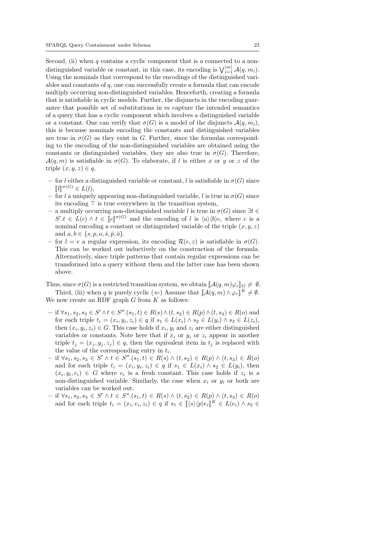Second, (ii) when  $q$  contains a cyclic component that is a connected to a nondistinguished variable or constant, in this case, its encoding is  $\bigvee_{i=1}^{|m|} \mathcal{A}(q, m_i)$ . Using the nominals that correspond to the encodings of the distinguished variables and constants of  $q$ , one can successfully create a formula that can encode multiply occurring non-distinguished variables. Henceforth, creating a formula that is satisfiable in cyclic models. Further, the disjuncts in the encoding guarantee that possible set of substitutions in  $m$  capture the intended semantics of a query that has a cyclic component which involves a distinguished variable or a constant. One can verify that  $\sigma(G)$  is a model of the disjuncts  $\mathcal{A}(q, m_i)$ , this is because nominals encoding the constants and distinguished variables are true in  $\sigma(G)$  as they exist in G. Further, since the formulas corresponding to the encoding of the non-distinguished variables are obtained using the constants or distinguished variables, they are also true in  $\sigma(G)$ . Therefore,  $\mathcal{A}(q,m)$  is satisfiable in  $\sigma(G)$ . To elaborate, if l is either x or y or z of the triple  $(x, y, z) \in q$ ,

- for l either a distinguished variable or constant, l is satisfiable in  $\sigma(G)$  since  $\llbracket l \rrbracket^{\sigma(G)} \in L(l),$ <br>for l a uniquely
- for l a uniquely appearing non-distinguished variable, l is true in  $\sigma(G)$  since its encoding  $\top$  is true everywhere in the transition system,
- a multiply occurring non-distinguished variable l is true in σ(G) since ∃t ∈  $S'.t \in L(c) \wedge t \in \llbracket c \rrbracket^{\sigma(G)}$  and the encoding of l is  $\langle a \rangle \langle b \rangle c$ , where c is a<br>nominal encoding a constant or distinguished variable of the triple  $(x, y, z)$ nominal encoding a constant or distinguished variable of the triple  $(x, y, z)$ and  $a, b \in \{s, p, o, \overline{s}, \overline{p}, \overline{o}\}.$
- for  $l = e$  a regular expression, its encoding  $\mathcal{R}(e, z)$  is satisfiable in  $\sigma(G)$ . This can be worked out inductively on the construction of the formula. Alternatively, since triple patterns that contain regular expressions can be transformed into a query without them and the latter case has been shown above.

Thus, since  $\sigma(G)$  is a restricted transition system, we obtain  $\llbracket \mathcal{A}(q, m)\varphi_r \rrbracket_G \neq \emptyset$ . Third, (iii) when q is purely cyclic ( $\Leftarrow$ ) Assume that  $[\![\mathcal{A}(q,m) \wedge \varphi_r]\!]^K \neq \emptyset$ . We now create an RDF graph  $G$  from  $K$  as follows:

- $-$  if ∀s<sub>1</sub>, s<sub>2</sub>, s<sub>3</sub> ∈ S' ∧t ∈ S''.(s<sub>1</sub>, t) ∈ R(s) ∧(t, s<sub>2</sub>) ∈ R(p) ∧(t, s<sub>3</sub>) ∈ R(o) and for each triple  $t_i = (x_i, y_i, z_i) \in q$  if  $s_1 \in L(x_i) \wedge s_2 \in L(y_i) \wedge s_3 \in L(z_i)$ , then  $(x_i, y_i, z_i) \in G$ . This case holds if  $x_i, y_i$  and  $z_i$  are either distinguished variables or constants. Note here that if  $x_i$  or  $y_i$  or  $z_i$  appear in another triple  $t_i = (x_i, y_i, z_i) \in q$ , then the equivalent item in  $t_i$  is replaced with the value of the corresponding entry in  $t_i$ .
- $-$  if ∀s<sub>1</sub>, s<sub>2</sub>, s<sub>3</sub> ∈ S' ∧ t ∈ S''.(s<sub>1</sub>, t) ∈ R(s) ∧ (t, s<sub>2</sub>) ∈ R(p) ∧ (t, s<sub>3</sub>) ∈ R(o) and for each triple  $t_i = (x_i, y_i, z_i) \in q$  if  $s_1 \in L(x_i) \wedge s_2 \in L(y_i)$ , then  $(x_i, y_i, c_i) \in G$  where  $c_i$  is a fresh constant. This case holds if  $z_i$  is a non-distinguished variable. Similarly, the case when  $x_i$  or  $y_i$  or both are variables can be worked out.
- $-$  if  $\forall s_1, s_2, s_3 \in S' \land t \in S''.(s_1, t) \in R(s) \land (t, s_2) \in R(p) \land (t, s_3) \in R(o)$ and for each triple  $t_i = (x_i, e_i, z_i) \in q$  if  $s_1 \in [\langle s \rangle \langle p \rangle e_i]^{K} \in L(e_i) \wedge s_2 \in$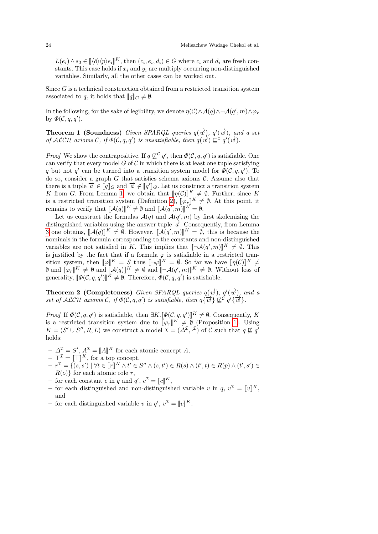$L(e_i) \wedge s_3 \in [\![\langle \bar{o} \rangle \langle p \rangle e_i]\!]^K$ , then  $(c_i, e_i, d_i) \in G$  where  $c_i$  and  $d_i$  are fresh con-<br>stants. This gaso holds if  $x_i$  and  $y_i$  are multiply equiving non-distinguished stants. This case holds if  $x_i$  and  $y_i$  are multiply occurring non-distinguished variables. Similarly, all the other cases can be worked out.

Since  $G$  is a technical construction obtained from a restricted transition system associated to q, it holds that  $\llbracket q \rrbracket_G \neq \emptyset$ .

In the following, for the sake of legibility, we denote  $\eta(\mathcal{C}) \wedge \mathcal{A}(q) \wedge \neg \mathcal{A}(q', m) \wedge \varphi_r$ by  $\Phi(C,q,q').$ 

**Theorem 1 (Soundness)** Given SPARQL queries  $q(\vec{w})$ ,  $q'(\vec{w})$ , and a set of ALCH axioms C, if  $\Phi(C, q, q')$  is unsatisfiable, then  $q(\vec{w}) \sqsubseteq^c q'(\vec{w})$ .

*Proof* We show the contrapositive. If  $q \not\sqsubseteq^{\mathcal{C}} q'$ , then  $\Phi(\mathcal{C}, q, q')$  is satisfiable. One can verify that every model  $G$  of  $\mathcal C$  in which there is at least one tuple satisfying q but not q' can be turned into a transition system model for  $\Phi(C, q, q')$ . To do so, consider a graph  $G$  that satisfies schema axioms  $\mathcal{C}$ . Assume also that there is a tuple  $\overrightarrow{a} \in [\![q]\!]_G$  and  $\overrightarrow{a} \notin [\![q]\!]_G$ <br>
K from G From Lomma 1, we obtain  $\mathbb{F}_G$ . Let us construct a transition system<br>in that  $\mathbb{F}_G(\mathcal{C})\mathbb{F} \neq \emptyset$  Eurthor since K K from G. From Lemma 1, we obtain that  $[\![\eta(\mathcal{C})]\!]^K \neq \emptyset$ . Further, since K<br>is a restricted transition system (Definition 2),  $[\![\mathcal{C}]\!]^K \neq \emptyset$ . At this point, it is a restricted transition system (Definition 2),  $[\![\varphi_r]\!]^K \neq \emptyset$ . At this point, it<br>remains to verify that  $[\![\Lambda(\alpha)]\!]^K \neq \emptyset$  and  $[\![\Lambda(\alpha',\omega)]\!]^K = \emptyset$ . remains to verify that  $[\![A(q)]\!]^K \neq \emptyset$  and  $[\![A(q', m)]\!]^K = \emptyset$ .<br>Let us construct the formulas  $A(q)$  and  $A(q', m)$  by v

Let us construct the formulas  $\mathcal{A}(q)$  and  $\mathcal{A}(q', m)$  by first skolemizing the distinguished variables using the answer tuple  $\overrightarrow{a}$ . Consequently, from Lemma 3 one obtains,  $[\mathcal{A}(q)]^K \neq \emptyset$ . However,  $[\mathcal{A}(q', m)]^K = \emptyset$ , this is because the nominals in the formula corresponding to the constants and non-distinguished nominals in the formula corresponding to the constants and non-distinguished variables are not satisfied in K. This implies that  $[\neg \mathcal{A}(q', m)]^K \neq \emptyset$ . This is justified by the fact that if a formula  $\varphi$  is satisfiable in a restricted transition system, then  $[\![\varphi]\!]^K = S$  thus  $[\![\neg \varphi]\!]^K = \emptyset$ . So far we have  $[\![\eta(\mathcal{C})]\!]^K \neq \emptyset$  and  $[\![\varphi]\!]^K \neq \emptyset$  and  $[\![\neg \varphi]\!]^K = \emptyset$  without loss of  $\emptyset$  and  $[\![\varphi_r]\!]^K \neq \emptyset$  and  $[\![\mathcal{A}(q)]\!]^K \neq \emptyset$  and  $[\![\neg \mathcal{A}(q', m)]\!]^K \neq \emptyset$ . Without loss of generality,  $[\![\Phi(\mathcal{C}, q, q')] \!]^K \neq \emptyset$ . Therefore,  $\Phi(\mathcal{C}, q, q')$  is satisfiable.

**Theorem 2 (Completeness)** Given SPARQL queries  $q(\vec{w})$ ,  $q'(\vec{w})$ , and a set of ALCH axioms C, if  $\Phi(C, q, q')$  is satisfiable, then  $q\{\overrightarrow{w}\}\not\subseteq^{\mathcal{C}}q'\{\overrightarrow{w}\}\.$ 

Proof If  $\Phi(C, q, q')$  is satisfiable, then  $\exists K. [\![\Phi(C, q, q')]\!]^K \neq \emptyset$ . Consequently, K<br>is a restricted transition system due to  $\mathbb{L}e \mathbb{L}K \neq \emptyset$  (Proposition 1). Using is a restricted transition system due to  $[\varphi_r]^K \neq \emptyset$  (Proposition 1). Using  $K = (S' \cup S'' \cup R \cup S)$  we construct a model  $\mathcal{T} = (\Lambda^T \cup \Lambda)$  of  $\mathcal{C}$  such that  $\alpha \not\sqsubset \alpha'$  $K = (S' \cup S'', R, L)$  we construct a model  $\mathcal{I} = (\Delta^{\mathcal{I}}, \cdot^{\mathcal{I}})$  of C such that  $q \not\sqsubseteq q'$ holds:

- $\Delta^{\mathcal{I}} = S', A^{\mathcal{I}} = [\![A]\!]^K$  for each atomic concept A,<br> $\Delta^{\mathcal{I}} = [\![\top]\!]^K$  for a top concept
- $\begin{aligned} \n-\nabla^{\mathcal{I}} &= [\![\top]\!]^K, \text{ for a top concept,} \\ \n\pi^{\mathcal{I}} &= \left\{ \begin{pmatrix} a & a' \end{pmatrix} \mid \forall t \in \mathbb{I} \pi \mathbb{I}^K \land t' \in \mathbb{I} \right\} \n\end{aligned}$
- $\begin{aligned} -r^{\mathcal{I}} &= \{(s, s') \mid \forall t \in [\![r]\!]^{K} \wedge t' \in S'' \wedge (s, t') \in R(s) \wedge (t', t) \in R(p) \wedge (t', s') \in R(\alpha)\}\n\text{for eacha, then } \alpha \in \mathbb{R}^{n} \wedge \beta \in R(\alpha)\}\n\end{aligned}$  $R(o)$  for each atomic role r,
- for each constant c in q and  $q'$ ,  $c^{\mathcal{I}} = [c]^K$ ,<br>for each distinguished and non-distinguish-
- for each distinguished and non-distinguished variable v in  $q, v^{\mathcal{I}} = [v]^K$ , and
- for each distinguished variable v in  $q'$ ,  $v^{\mathcal{I}} = [v]^{K}$ .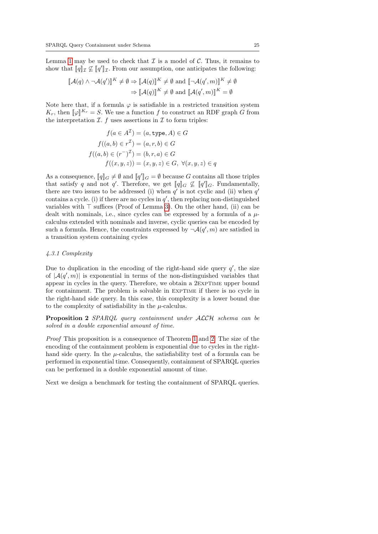Lemma 1 may be used to check that  $\mathcal I$  is a model of  $\mathcal C$ . Thus, it remains to show that  $\llbracket q \rrbracket_{\mathcal{I}} \nsubseteq \llbracket q' \rrbracket_{\mathcal{I}}$ . From our assumption, one anticipates the following:

$$
\llbracket \mathcal{A}(q) \wedge \neg \mathcal{A}(q') \rrbracket^K \neq \emptyset \Rightarrow \llbracket \mathcal{A}(q) \rrbracket^K \neq \emptyset \text{ and } \llbracket \neg \mathcal{A}(q', m) \rrbracket^K \neq \emptyset
$$

$$
\Rightarrow \llbracket \mathcal{A}(q) \rrbracket^K \neq \emptyset \text{ and } \llbracket \mathcal{A}(q', m) \rrbracket^K = \emptyset
$$

Note here that, if a formula  $\varphi$  is satisfiable in a restricted transition system  $K_r$ , then  $[\![\varphi]\!]^{K_r} = S$ . We use a function f to construct an RDF graph G from the interpretation  $\mathcal{T}_r$  f uses assortions in  $\mathcal{T}_r$  to form triples: the interpretation  $\mathcal{I}$ .  $f$  uses assertions in  $\mathcal I$  to form triples:

$$
f(a \in A^{\mathcal{I}}) = (a, \text{type}, A) \in G
$$

$$
f((a, b) \in r^{\mathcal{I}}) = (a, r, b) \in G
$$

$$
f((a, b) \in (r^{-})^{\mathcal{I}}) = (b, r, a) \in G
$$

$$
f((x, y, z)) = (x, y, z) \in G, \ \forall (x, y, z) \in q
$$

As a consequence,  $[\![q]\!]_G \neq \emptyset$  and  $[\![q']\!]_G = \emptyset$  because G contains all those triples<br>that exting g and not g' Therefore we get  $[\![q]\!]_T \subset \mathbb{Z}$   $[\![q']\!]_T$ . Every expanding that satisfy q and not q'. Therefore, we get  $[\![q]\!]_G \not\subseteq [\![q']\!]_G$ . Fundamentally, there are two issues to be addressed (i) when  $q'$  is not cyclic and (ii) when  $q'$ contains a cycle. (i) if there are no cycles in  $q'$ , then replacing non-distinguished variables with  $\top$  suffices (Proof of Lemma 3). On the other hand, (ii) can be dealt with nominals, i.e., since cycles can be expressed by a formula of a  $\mu$ calculus extended with nominals and inverse, cyclic queries can be encoded by such a formula. Hence, the constraints expressed by  $\neg A(q', m)$  are satisfied in a transition system containing cycles

#### 4.3.1 Complexity

Due to duplication in the encoding of the right-hand side query  $q'$ , the size of  $|A(q',m)|$  is exponential in terms of the non-distinguished variables that appear in cycles in the query. Therefore, we obtain a 2EXPTIME upper bound for containment. The problem is solvable in EXPTIME if there is no cycle in the right-hand side query. In this case, this complexity is a lower bound due to the complexity of satisfiability in the  $\mu$ -calculus.

Proposition 2 SPARQL query containment under ALCH schema can be solved in a double exponential amount of time.

Proof This proposition is a consequence of Theorem 1 and 2. The size of the encoding of the containment problem is exponential due to cycles in the righthand side query. In the  $\mu$ -calculus, the satisfiability test of a formula can be performed in exponential time. Consequently, containment of SPARQL queries can be performed in a double exponential amount of time.

Next we design a benchmark for testing the containment of SPARQL queries.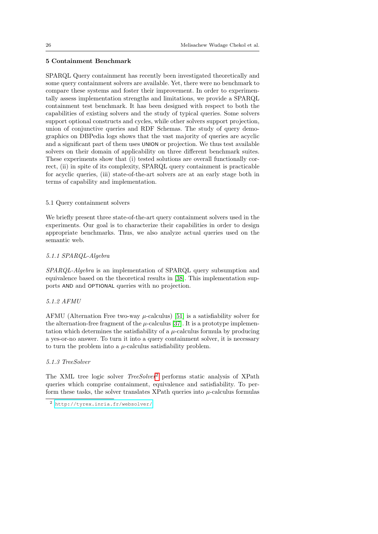#### 5 Containment Benchmark

SPARQL Query containment has recently been investigated theoretically and some query containment solvers are available. Yet, there were no benchmark to compare these systems and foster their improvement. In order to experimentally assess implementation strengths and limitations, we provide a SPARQL containment test benchmark. It has been designed with respect to both the capabilities of existing solvers and the study of typical queries. Some solvers support optional constructs and cycles, while other solvers support projection, union of conjunctive queries and RDF Schemas. The study of query demographics on DBPedia logs shows that the vast majority of queries are acyclic and a significant part of them uses UNION or projection. We thus test available solvers on their domain of applicability on three different benchmark suites. These experiments show that (i) tested solutions are overall functionally correct, (ii) in spite of its complexity, SPARQL query containment is practicable for acyclic queries, (iii) state-of-the-art solvers are at an early stage both in terms of capability and implementation.

#### 5.1 Query containment solvers

We briefly present three state-of-the-art query containment solvers used in the experiments. Our goal is to characterize their capabilities in order to design appropriate benchmarks. Thus, we also analyze actual queries used on the semantic web.

#### 5.1.1 SPARQL-Algebra

SPARQL-Algebra is an implementation of SPARQL query subsumption and equivalence based on the theoretical results in [38]. This implementation supports AND and OPTIONAL queries with no projection.

#### 5.1.2 AFMU

AFMU (Alternation Free two-way  $\mu$ -calculus) [51] is a satisfiability solver for the alternation-free fragment of the  $\mu$ -calculus [37]. It is a prototype implementation which determines the satisfiability of a  $\mu$ -calculus formula by producing a yes-or-no answer. To turn it into a query containment solver, it is necessary to turn the problem into a  $\mu$ -calculus satisfiability problem.

#### 5.1.3 TreeSolver

The XML tree logic solver *TreeSolver*<sup>2</sup> performs static analysis of XPath queries which comprise containment, equivalence and satisfiability. To perform these tasks, the solver translates XPath queries into  $\mu$ -calculus formulas

<sup>2</sup> <http://tyrex.inria.fr/websolver/>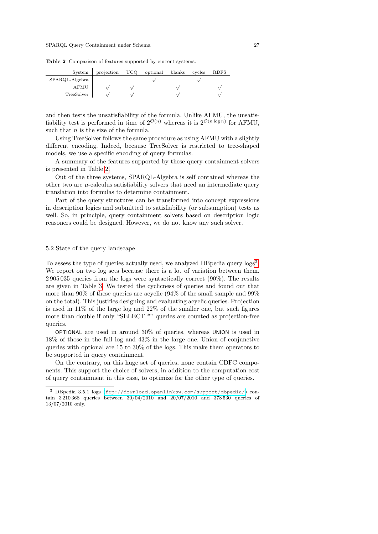| System         | projection | <b>UCO</b> | optional | blanks | cycles | <b>RDFS</b> |
|----------------|------------|------------|----------|--------|--------|-------------|
| SPARQL-Algebra |            |            |          |        |        |             |
| AFMU           |            |            |          |        |        |             |
| TreeSolver     |            |            |          |        |        |             |

Table 2 Comparison of features supported by current systems.

and then tests the unsatisfiability of the formula. Unlike AFMU, the unsatisfiability test is performed in time of  $2^{\mathcal{O}(n)}$  whereas it is  $2^{\mathcal{O}(n \log n)}$  for AFMU, such that  $n$  is the size of the formula.

Using TreeSolver follows the same procedure as using AFMU with a slightly different encoding. Indeed, because TreeSolver is restricted to tree-shaped models, we use a specific encoding of query formulas.

A summary of the features supported by these query containment solvers is presented in Table 2.

Out of the three systems, SPARQL-Algebra is self contained whereas the other two are  $\mu$ -calculus satisfiability solvers that need an intermediate query translation into formulas to determine containment.

Part of the query structures can be transformed into concept expressions in description logics and submitted to satisfiability (or subsumption) tests as well. So, in principle, query containment solvers based on description logic reasoners could be designed. However, we do not know any such solver.

#### 5.2 State of the query landscape

To assess the type of queries actually used, we analyzed DBpedia query logs<sup>3</sup>. We report on two log sets because there is a lot of variation between them. 2 905 035 queries from the logs were syntactically correct (90%). The results are given in Table 3. We tested the cyclicness of queries and found out that more than 90% of these queries are acyclic (94% of the small sample and 99% on the total). This justifies designing and evaluating acyclic queries. Projection is used in 11% of the large log and 22% of the smaller one, but such figures more than double if only "SELECT \*" queries are counted as projection-free queries.

OPTIONAL are used in around 30% of queries, whereas UNION is used in 18% of those in the full log and 43% in the large one. Union of conjunctive queries with optional are 15 to 30% of the logs. This make them operators to be supported in query containment.

On the contrary, on this huge set of queries, none contain CDFC components. This support the choice of solvers, in addition to the computation cost of query containment in this case, to optimize for the other type of queries.

<sup>3</sup> DBpedia 3.5.1 logs (<ftp://download.openlinksw.com/support/dbpedia/>) contain 3 210 368 queries between 30/04/2010 and 20/07/2010 and 378 530 queries of 13/07/2010 only.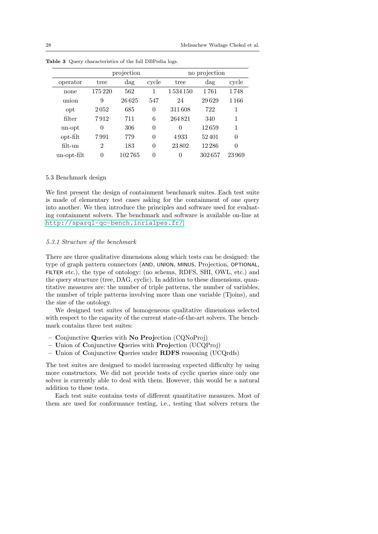|             |                | projection |          |          | no projection |          |
|-------------|----------------|------------|----------|----------|---------------|----------|
| operator    | tree           | $\rm{dag}$ | cycle    | tree     | $\rm{dag}$    | cycle    |
| none        | 175 220        | 562        | 1        | 1534150  | 1761          | 1748     |
| union       | 9              | 26625      | 547      | 24       | 29629         | 1 1 6 6  |
| opt         | 2052           | 685        | $\theta$ | 311608   | 722           | 1        |
| filter      | 7912           | 711        | 6        | 264821   | 340           | 1        |
| un-opt      | $\theta$       | 306        | $\theta$ | $\Omega$ | 12659         | 1        |
| opt-filt    | 7991           | 779        | $\theta$ | 4933     | 52401         | $\theta$ |
| $filt-un$   | $\mathfrak{D}$ | 183        | $\theta$ | 23802    | 12 2 8 6      | $\theta$ |
| un-opt-filt | $\theta$       | 102765     | 0        | 0        | 302657        | 23969    |

Table 3 Query characteristics of the full DBPedia logs.

#### 5.3 Benchmark design

We first present the design of containment benchmark suites. Each test suite is made of elementary test cases asking for the containment of one query into another. We then introduce the principles and software used for evaluating containment solvers. The benchmark and software is available on-line at <http://sparql-qc-bench.inrialpes.fr/>.

#### 5.3.1 Structure of the benchmark

There are three qualitative dimensions along which tests can be designed: the type of graph pattern connectors (AND, UNION, MINUS, Projection, OPTIONAL, FILTER etc.), the type of ontology: (no schema, RDFS, SHI, OWL, etc.) and the query structure (tree, DAG, cyclic). In addition to these dimensions, quantitative measures are: the number of triple patterns, the number of variables, the number of triple patterns involving more than one variable (Tjoins), and the size of the ontology.

We designed test suites of homogeneous qualitative dimensions selected with respect to the capacity of the current state-of-the-art solvers. The benchmark contains three test suites:

- Conjunctive Queries with No Projection (CQNoProj)
- Union of Conjunctive Queries with Projection (UCQProj)
- Union of Conjunctive Queries under RDFS reasoning (UCQrdfs)

The test suites are designed to model increasing expected difficulty by using more constructors. We did not provide tests of cyclic queries since only one solver is currently able to deal with them. However, this would be a natural addition to these tests.

Each test suite contains tests of different quantitative measures. Most of them are used for conformance testing, i.e., testing that solvers return the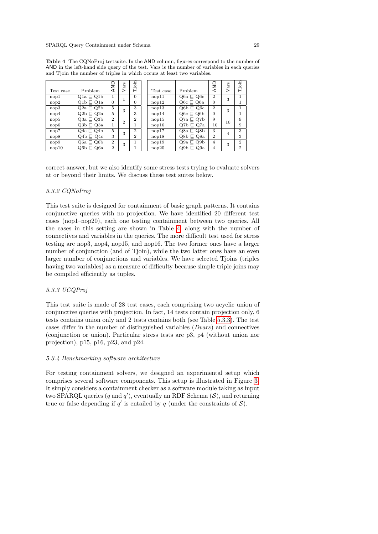|                  |                     | ≏              | S.             | Tjoin          |           |                     | AND            | co. | .크             |
|------------------|---------------------|----------------|----------------|----------------|-----------|---------------------|----------------|-----|----------------|
| Test case        | Problem             | ₹              | Vari           |                | Test case | Problem             |                | Var | Ē              |
| nop1             | $Q1a \sqsubset Q1b$ | 1              |                | $\Omega$       | nop11     | $Q6a \sqsubset Q6c$ | $\overline{2}$ | 3   |                |
| nop2             | $Q1b \sqsubset Q1a$ | $\Omega$       |                | $\overline{0}$ | nop12     | $Q6c \sqsubset Q6a$ | $\overline{0}$ |     |                |
| nop3             | $Q2a \sqsubset Q2b$ | 5              | 3              | 3              | nop13     | $Q6b \sqsubset Q6c$ | $\overline{2}$ | 3   | 1              |
| nop <sub>4</sub> | $Q2b \sqsubset Q2a$ | 5              |                | 3              | nop14     | $Q6c \sqsubset Q6b$ | $\overline{0}$ |     |                |
| nop5             | $Q3a \sqsubset Q3b$ | $\overline{2}$ | $\overline{2}$ | $\overline{2}$ | nop15     | $Q7a \sqsubset Q7b$ | 9              | 10  | 9              |
| nop6             | $Q3b \sqsubset Q3a$ | 1              |                | ı.             | nop16     | $Q7b \sqsubset Q7a$ | 10             |     | 9              |
| nop7             | $Q4c \sqsubset Q4b$ | 5              | 3              | $\overline{2}$ | nop17     | $Q8a \sqsubset Q8b$ | 3              | 4   | 3              |
| nop8             | $Q4b \sqsubset Q4c$ | 3              |                | $\overline{2}$ | nop18     | $Q8b \sqsubset Q8a$ | $\overline{2}$ |     | 3              |
| nop9             | $Q6a \sqsubset Q6b$ | $\overline{2}$ | 3              |                | nop19     | $Q9a \sqsubset Q9b$ | $\overline{4}$ | 3   | $\mathbf{2}$   |
| nop10            | $Q6b \sqsubset Q6a$ | $\overline{2}$ |                |                | nop20     | Q9a<br>Q9b ⊏        | $\overline{4}$ |     | $\overline{2}$ |

Table 4 The CQNoProj testsuite. In the AND column, figures correspond to the number of AND in the left-hand side query of the test. Vars is the number of variables in each queries and Tjoin the number of triples in which occurs at least two variables.

correct answer, but we also identify some stress tests trying to evaluate solvers at or beyond their limits. We discuss these test suites below.

## 5.3.2 CQNoProj

This test suite is designed for containment of basic graph patterns. It contains conjunctive queries with no projection. We have identified 20 different test cases (nop1–nop20), each one testing containment between two queries. All the cases in this setting are shown in Table 4, along with the number of connectives and variables in the queries. The more difficult test used for stress testing are nop3, nop4, nop15, and nop16. The two former ones have a larger number of conjunction (and of Tjoin), while the two latter ones have an even larger number of conjunctions and variables. We have selected Tjoins (triples having two variables) as a measure of difficulty because simple triple joins may be compiled efficiently as tuples.

#### 5.3.3 UCQProj

This test suite is made of 28 test cases, each comprising two acyclic union of conjunctive queries with projection. In fact, 14 tests contain projection only, 6 tests contains union only and 2 tests contains both (see Table 5.3.3). The test cases differ in the number of distinguished variables (Dvars) and connectives (conjunction or union). Particular stress tests are p3, p4 (without union nor projection), p15, p16, p23, and p24.

#### 5.3.4 Benchmarking software architecture

For testing containment solvers, we designed an experimental setup which comprises several software components. This setup is illustrated in Figure 3. It simply considers a containment checker as a software module taking as input two SPARQL queries  $(q \text{ and } q')$ , eventually an RDF Schema  $(\mathcal{S})$ , and returning true or false depending if  $q'$  is entailed by q (under the constraints of  $S$ ).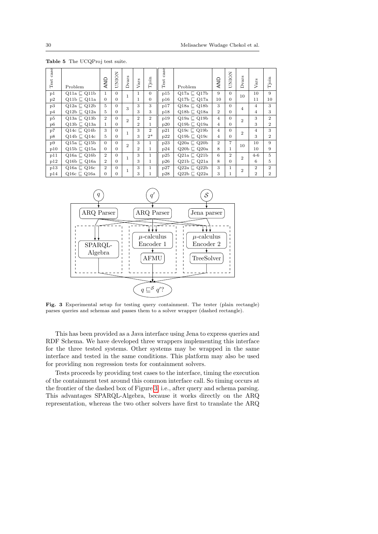| $\c{ase}$<br>$\operatorname{\mathsf{Test}}$ | Problem                 | AND            | UNION    | vars           | Vars           | Tjoin          | $\cos$<br>Test | Problem                 | AND            | UNION          | Dvars          | Vars           | Tjoin          |
|---------------------------------------------|-------------------------|----------------|----------|----------------|----------------|----------------|----------------|-------------------------|----------------|----------------|----------------|----------------|----------------|
| p1                                          | $Q11a \sqsubset Q11b$   | $\mathbf{1}$   | $\Omega$ | 1              | $\mathbf{1}$   | $\theta$       | p15            | $Q17a \sqsubset Q17b$   | 9              | $\theta$       | 10             | 10             | 9              |
| p2                                          | $Q11b \sqsubset Q11a$   | $\Omega$       | $\Omega$ |                | 1              | $\theta$       | p16            | $Q17b \sqsubset Q17a$   | 10             | $\Omega$       |                | 11             | 10             |
| p3                                          | $Q12a \sqsubset Q12b$   | 5              | $\Omega$ | 3              | 3              | 3              | p17            | $Q18a \sqsubset Q18b$   | 3              | $\Omega$       | 4              | $\overline{4}$ | 3              |
| p4                                          | $Q12b \sqsubset Q12a$   | 5              | $\Omega$ |                | 3              | 3              | p18            | $Q18b \sqsubset Q18a$   | $\overline{2}$ | $\Omega$       |                | 4              | 3              |
| p5                                          | $Q13a \sqsubset Q13b$   | $\overline{2}$ | $\Omega$ | $\overline{2}$ | $\overline{2}$ | $\overline{2}$ | p19            | $Q19a \sqsubseteq Q19b$ | $\overline{4}$ | $\theta$       | $\overline{2}$ | 3              | $\overline{2}$ |
| p <sub>6</sub>                              | $Q13b \sqsubset Q13a$   | 1              | $\Omega$ |                | $\overline{2}$ | 1              | p20            | $Q19b \sqsubset Q19a$   | $\overline{4}$ | $\overline{0}$ |                | 3              | $\overline{2}$ |
| p7                                          | $Q14c \sqsubseteq Q14b$ | 3              | $\Omega$ | 1              | 3              | $\overline{2}$ | p21            | $Q19c \sqsubset Q19b$   | $\overline{4}$ | $\overline{0}$ | $\overline{2}$ | $\overline{4}$ | 3              |
| p8                                          | $Q14b \sqsubset Q14c$   | 5.             | $\Omega$ |                | 3              | $2*$           | p22            | $Q19b \sqsubset Q19c$   | $\overline{4}$ | $\Omega$       |                | 3              | $\overline{2}$ |
| p9                                          | $Q15a \sqsubset Q15b$   | $\Omega$       | $\Omega$ | $\overline{2}$ | 3              | $\mathbf 1$    | p23            | $Q20a \sqsubset Q20b$   | $\overline{2}$ | 7              | 10             | 10             | 9              |
| p10                                         | $Q15b \sqsubset Q15a$   | $\Omega$       | $\Omega$ |                | $\overline{2}$ | 1              | p24            | $Q20b \sqsubset Q20a$   | 8              | 1              |                | 10             | 9              |
| p11                                         | $Q16a \sqsubseteq Q16b$ | $\overline{2}$ | $\Omega$ | 1              | 3              | $\mathbf 1$    | p25            | $Q21a \sqsubset Q21b$   | 6              | $\mathbf{2}$   | $^{2}$         | $4 - 6$        | 5              |
| p12                                         | $Q16b \sqsubset Q16a$   | $\overline{2}$ | $\Omega$ |                | 3              | 1              | p26            | $Q21b \sqsubset Q21a$   | 8              | $\Omega$       |                | 6              | 5              |
| p13                                         | $Q16a \sqsubset Q16c$   | $\overline{2}$ | $\Omega$ |                | 3              | $\mathbf 1$    | p27            | $Q22a \sqsubset Q22b$   | 3              | $\mathbf{1}$   | $\overline{2}$ | $\mathbf{2}$   | $\overline{2}$ |
| p14                                         | Q16c $\sqsubset$ Q16a   | $\Omega$       | $\Omega$ |                | 3              | 1              | p28            | $Q22b \sqsubset Q22a$   | 3              | $\mathbf{1}$   |                | $\overline{2}$ | $\overline{2}$ |

Table 5 The UCQProj test suite.



Fig. 3 Experimental setup for testing query containment. The tester (plain rectangle) parses queries and schemas and passes them to a solver wrapper (dashed rectangle).

This has been provided as a Java interface using Jena to express queries and RDF Schema. We have developed three wrappers implementing this interface for the three tested systems. Other systems may be wrapped in the same interface and tested in the same conditions. This platform may also be used for providing non regression tests for containment solvers.

Tests proceeds by providing test cases to the interface, timing the execution of the containment test around this common interface call. So timing occurs at the frontier of the dashed box of Figure 3, i.e., after query and schema parsing. This advantages SPARQL-Algebra, because it works directly on the ARQ representation, whereas the two other solvers have first to translate the ARQ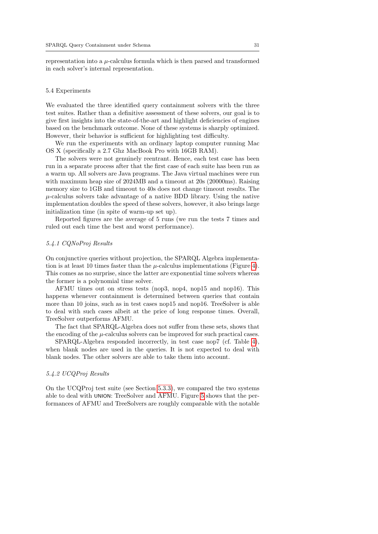representation into a  $\mu$ -calculus formula which is then parsed and transformed in each solver's internal representation.

#### 5.4 Experiments

We evaluated the three identified query containment solvers with the three test suites. Rather than a definitive assessment of these solvers, our goal is to give first insights into the state-of-the-art and highlight deficiencies of engines based on the benchmark outcome. None of these systems is sharply optimized. However, their behavior is sufficient for highlighting test difficulty.

We run the experiments with an ordinary laptop computer running Mac OS X (specifically a 2.7 Ghz MacBook Pro with 16GB RAM).

The solvers were not genuinely reentrant. Hence, each test case has been run in a separate process after that the first case of each suite has been run as a warm up. All solvers are Java programs. The Java virtual machines were run with maximum heap size of 2024MB and a timeout at 20s (20000ms). Raising memory size to 1GB and timeout to 40s does not change timeout results. The  $\mu$ -calculus solvers take advantage of a native BDD library. Using the native implementation doubles the speed of these solvers, however, it also brings large initialization time (in spite of warm-up set up).

Reported figures are the average of 5 runs (we run the tests 7 times and ruled out each time the best and worst performance).

#### 5.4.1 CQNoProj Results

On conjunctive queries without projection, the SPARQL Algebra implementation is at least 10 times faster than the  $\mu$ -calculus implementations (Figure 4). This comes as no surprise, since the latter are exponential time solvers whereas the former is a polynomial time solver.

AFMU times out on stress tests (nop3, nop4, nop15 and nop16). This happens whenever containment is determined between queries that contain more than 10 joins, such as in test cases nop15 and nop16. TreeSolver is able to deal with such cases albeit at the price of long response times. Overall, TreeSolver outperforms AFMU.

The fact that SPARQL-Algebra does not suffer from these sets, shows that the encoding of the  $\mu$ -calculus solvers can be improved for such practical cases.

SPARQL-Algebra responded incorrectly, in test case nop7 (cf. Table 4), when blank nodes are used in the queries. It is not expected to deal with blank nodes. The other solvers are able to take them into account.

#### 5.4.2 UCQProj Results

On the UCQProj test suite (see Section 5.3.3), we compared the two systems able to deal with UNION: TreeSolver and AFMU. Figure 5 shows that the performances of AFMU and TreeSolvers are roughly comparable with the notable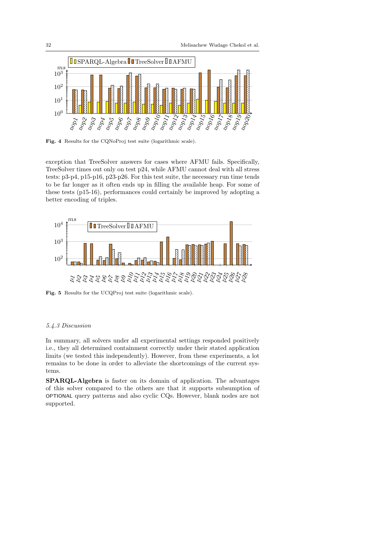

Fig. 4 Results for the CQNoProj test suite (logarithmic scale).

exception that TreeSolver answers for cases where AFMU fails. Specifically, TreeSolver times out only on test p24, while AFMU cannot deal with all stress tests: p3-p4, p15-p16, p23-p26. For this test suite, the necessary run time tends to be far longer as it often ends up in filling the available heap. For some of these tests (p15-16), performances could certainly be improved by adopting a better encoding of triples.



Fig. 5 Results for the UCQProj test suite (logarithmic scale).

#### 5.4.3 Discussion

In summary, all solvers under all experimental settings responded positively i.e., they all determined containment correctly under their stated application limits (we tested this independently). However, from these experiments, a lot remains to be done in order to alleviate the shortcomings of the current systems.

SPARQL-Algebra is faster on its domain of application. The advantages of this solver compared to the others are that it supports subsumption of OPTIONAL query patterns and also cyclic CQs. However, blank nodes are not supported.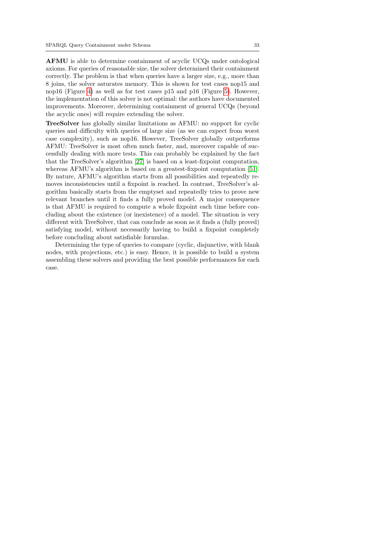AFMU is able to determine containment of acyclic UCQs under ontological axioms. For queries of reasonable size, the solver determined their containment correctly. The problem is that when queries have a larger size, e.g., more than 8 joins, the solver saturates memory. This is shown for test cases nop15 and nop16 (Figure 4) as well as for test cases p15 and p16 (Figure 5). However, the implementation of this solver is not optimal: the authors have documented improvements. Moreover, determining containment of general UCQs (beyond the acyclic ones) will require extending the solver.

TreeSolver has globally similar limitations as AFMU: no support for cyclic queries and difficulty with queries of large size (as we can expect from worst case complexity), such as nop16. However, TreeSolver globally outperforms AFMU: TreeSolver is most often much faster, and, moreover capable of successfully dealing with more tests. This can probably be explained by the fact that the TreeSolver's algorithm [27] is based on a least-fixpoint computation, whereas AFMU's algorithm is based on a greatest-fixpoint computation [51]. By nature, AFMU's algorithm starts from all possibilities and repeatedly removes inconsistencies until a fixpoint is reached. In contrast, TreeSolver's algorithm basically starts from the emptyset and repeatedly tries to prove new relevant branches until it finds a fully proved model. A major consequence is that AFMU is required to compute a whole fixpoint each time before concluding about the existence (or inexistence) of a model. The situation is very different with TreeSolver, that can conclude as soon as it finds a (fully proved) satisfying model, without necessarily having to build a fixpoint completely before concluding about satisfiable formulas.

Determining the type of queries to compare (cyclic, disjunctive, with blank nodes, with projections, etc.) is easy. Hence, it is possible to build a system assembling these solvers and providing the best possible performances for each case.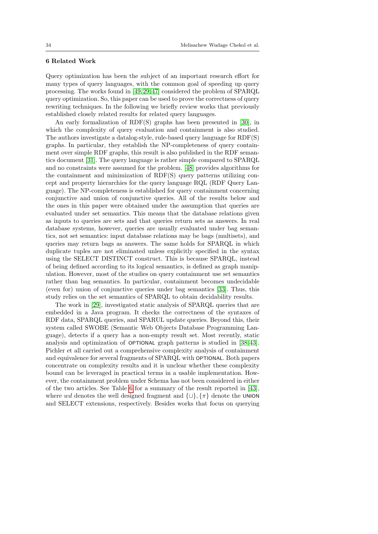#### 6 Related Work

Query optimization has been the subject of an important research effort for many types of query languages, with the common goal of speeding up query processing. The works found in [49, 29, 47] considered the problem of SPARQL query optimization. So, this paper can be used to prove the correctness of query rewriting techniques. In the following we briefly review works that previously established closely related results for related query languages.

An early formalization of RDF(S) graphs has been presented in [30], in which the complexity of query evaluation and containment is also studied. The authors investigate a datalog-style, rule-based query language for RDF(S) graphs. In particular, they establish the NP-completeness of query containment over simple RDF graphs, this result is also published in the RDF semantics document [31]. The query language is rather simple compared to SPARQL and no constraints were assumed for the problem. [48] provides algorithms for the containment and minimization of RDF(S) query patterns utilizing concept and property hierarchies for the query language RQL (RDF Query Language). The NP-completeness is established for query containment concerning conjunctive and union of conjunctive queries. All of the results below and the ones in this paper were obtained under the assumption that queries are evaluated under set semantics. This means that the database relations given as inputs to queries are sets and that queries return sets as answers. In real database systems, however, queries are usually evaluated under bag semantics, not set semantics: input database relations may be bags (multisets), and queries may return bags as answers. The same holds for SPARQL in which duplicate tuples are not eliminated unless explicitly specified in the syntax using the SELECT DISTINCT construct. This is because SPARQL, instead of being defined according to its logical semantics, is defined as graph manipulation. However, most of the studies on query containment use set semantics rather than bag semantics. In particular, containment becomes undecidable (even for) union of conjunctive queries under bag semantics [33]. Thus, this study relies on the set semantics of SPARQL to obtain decidability results.

The work in [29], investigated static analysis of SPARQL queries that are embedded in a Java program. It checks the correctness of the syntaxes of RDF data, SPARQL queries, and SPARUL update queries. Beyond this, their system called SWOBE (Semantic Web Objects Database Programming Language), detects if a query has a non-empty result set. Most recently, static analysis and optimization of OPTIONAL graph patterns is studied in [38, 43]. Pichler et all carried out a comprehensive complexity analysis of containment and equivalence for several fragments of SPARQL with OPTIONAL. Both papers concentrate on complexity results and it is unclear whether these complexity bound can be leveraged in practical terms in a usable implementation. However, the containment problem under Schema has not been considered in either of the two articles. See Table 6 for a summary of the result reported in [43], where wd denotes the well designed fragment and  $\{\cup\}, \{\pi\}$  denote the UNION and SELECT extensions, respectively. Besides works that focus on querying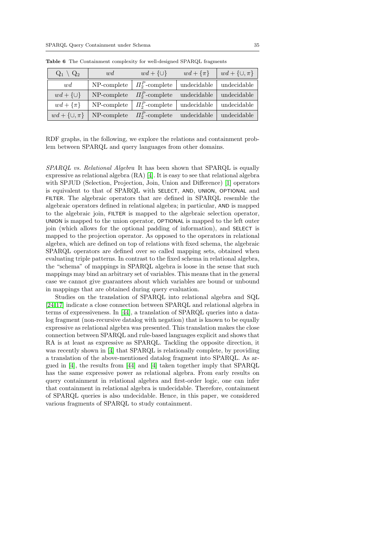| $Q_1 \setminus Q_2$  | wd          | $wd + \{\cup\}$     | $wd + {\pi}$ | $wd + \{\cup, \pi\}$ |
|----------------------|-------------|---------------------|--------------|----------------------|
| wd                   | NP-complete | $\Pi_2^P$ -complete | undecidable  | undecidable          |
| $wd + \{\cup\}$      | NP-complete | $\Pi_2^P$ -complete | undecidable  | undecidable          |
| $wd + {\pi}$         | NP-complete | $\Pi_2^P$ -complete | undecidable  | undecidable          |
| $wd + \{\cup, \pi\}$ | NP-complete | $\Pi_2^P$ -complete | undecidable  | undecidable          |

Table 6 The Containment complexity for well-designed SPARQL fragments

RDF graphs, in the following, we explore the relations and containment problem between SPARQL and query languages from other domains.

SPARQL vs. Relational Algebra It has been shown that SPARQL is equally expressive as relational algebra  $(RA)$  [4]. It is easy to see that relational algebra with SPJUD (Selection, Projection, Join, Union and Difference) [1] operators is equivalent to that of SPARQL with SELECT, AND, UNION, OPTIONAL and FILTER. The algebraic operators that are defined in SPARQL resemble the algebraic operators defined in relational algebra; in particular, AND is mapped to the algebraic join, FILTER is mapped to the algebraic selection operator, UNION is mapped to the union operator, OPTIONAL is mapped to the left outer join (which allows for the optional padding of information), and SELECT is mapped to the projection operator. As opposed to the operators in relational algebra, which are defined on top of relations with fixed schema, the algebraic SPARQL operators are defined over so called mapping sets, obtained when evaluating triple patterns. In contrast to the fixed schema in relational algebra, the "schema" of mappings in SPARQL algebra is loose in the sense that such mappings may bind an arbitrary set of variables. This means that in the general case we cannot give guarantees about which variables are bound or unbound in mappings that are obtained during query evaluation.

Studies on the translation of SPARQL into relational algebra and SQL [24, 17] indicate a close connection between SPARQL and relational algebra in terms of expressiveness. In [44], a translation of SPARQL queries into a datalog fragment (non-recursive datalog with negation) that is known to be equally expressive as relational algebra was presented. This translation makes the close connection between SPARQL and rule-based languages explicit and shows that RA is at least as expressive as SPARQL. Tackling the opposite direction, it was recently shown in [4] that SPARQL is relationally complete, by providing a translation of the above-mentioned datalog fragment into SPARQL. As argued in [4], the results from [44] and [4] taken together imply that SPARQL has the same expressive power as relational algebra. From early results on query containment in relational algebra and first-order logic, one can infer that containment in relational algebra is undecidable. Therefore, containment of SPARQL queries is also undecidable. Hence, in this paper, we considered various fragments of SPARQL to study containment.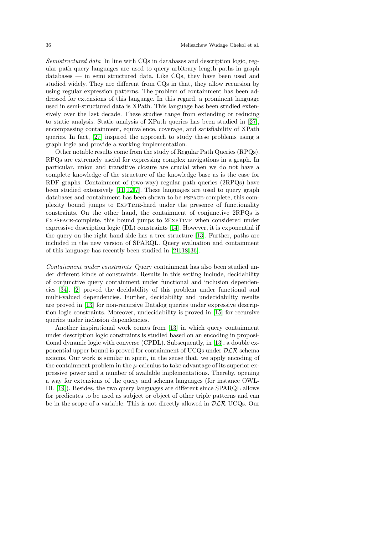Semistructured data In line with CQs in databases and description logic, regular path query languages are used to query arbitrary length paths in graph databases — in semi structured data. Like  $CQs$ , they have been used and studied widely. They are different from CQs in that, they allow recursion by using regular expression patterns. The problem of containment has been addressed for extensions of this language. In this regard, a prominent language used in semi-structured data is XPath. This language has been studied extensively over the last decade. These studies range from extending or reducing to static analysis. Static analysis of XPath queries has been studied in [27], encompassing containment, equivalence, coverage, and satisfiability of XPath queries. In fact, [27] inspired the approach to study these problems using a graph logic and provide a working implementation.

Other notable results come from the study of Regular Path Queries (RPQs). RPQs are extremely useful for expressing complex navigations in a graph. In particular, union and transitive closure are crucial when we do not have a complete knowledge of the structure of the knowledge base as is the case for RDF graphs. Containment of (two-way) regular path queries (2RPQs) have been studied extensively [11, 12, 7]. These languages are used to query graph databases and containment has been shown to be PSPACE-complete, this complexity bound jumps to EXPTIME-hard under the presence of functionality constraints. On the other hand, the containment of conjunctive 2RPQs is EXPSPACE-complete, this bound jumps to 2EXPTIME when considered under expressive description logic (DL) constraints [14]. However, it is exponential if the query on the right hand side has a tree structure [13]. Further, paths are included in the new version of SPARQL. Query evaluation and containment of this language has recently been studied in [21, 18, 36].

Containment under constraints Query containment has also been studied under different kinds of constraints. Results in this setting include, decidability of conjunctive query containment under functional and inclusion dependencies [34]. [2] proved the decidability of this problem under functional and multi-valued dependencies. Further, decidability and undecidability results are proved in [13] for non-recursive Datalog queries under expressive description logic constraints. Moreover, undecidability is proved in [15] for recursive queries under inclusion dependencies.

Another inspirational work comes from [13] in which query containment under description logic constraints is studied based on an encoding in propositional dynamic logic with converse (CPDL). Subsequently, in [13], a double exponential upper bound is proved for containment of UCQs under  $D\mathcal{LR}$  schema axioms. Our work is similar in spirit, in the sense that, we apply encoding of the containment problem in the  $\mu$ -calculus to take advantage of its superior expressive power and a number of available implementations. Thereby, opening a way for extensions of the query and schema languages (for instance OWL-DL [19]). Besides, the two query languages are different since SPARQL allows for predicates to be used as subject or object of other triple patterns and can be in the scope of a variable. This is not directly allowed in  $D\mathcal{LR}$  UCQs. Our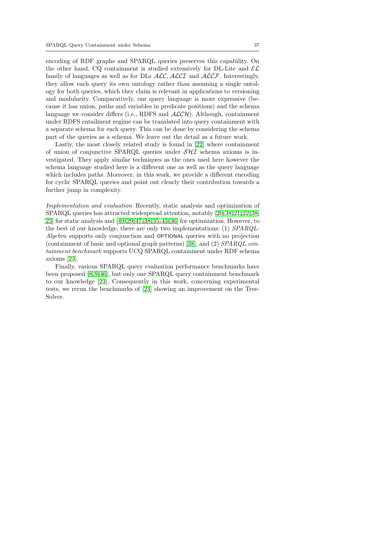encoding of RDF graphs and SPARQL queries preserves this capability. On the other hand, CQ containment is studied extensively for DL-Lite and  $\mathcal{EL}$ family of languages as well as for DLs  $\text{ALC}$ ,  $\text{ALCI}$  and  $\text{ALCF}$ . Interestingly, they allow each query its own ontology rather than assuming a single ontology for both queries, which they claim is relevant in applications to versioning and modularity. Comparatively, our query language is more expressive (because it has union, paths and variables in predicate positions) and the schema language we consider differs (i.e., RDFS and  $\mathcal{ALCH}$ ). Although, containment under RDFS entailment regime can be translated into query containment with a separate schema for each query. This can be done by considering the schema part of the queries as a schema. We leave out the detail as a future work.

Lastly, the most closely related study is found in [22] where containment of union of conjunctive SPARQL queries under  $\mathcal{S} \mathcal{H} \mathcal{I}$  schema axioms is investigated. They apply similar techniques as the ones used here however the schema language studied here is a different one as well as the query language which includes paths. Moreover, in this work, we provide a different encoding for cyclic SPARQL queries and point out clearly their contribution towards a further jump in complexity.

Implementation and evaluation Recently, static analysis and optimization of SPARQL queries has attracted widespread attention, notably [20, 38, 21, 22, 38, 23] for static analysis and [49, 29, 47, 38, 35, 43, 36] for optimization. However, to the best of our knowledge, there are only two implementations: (1) SPARQL-Algebra supports only conjunction and OPTIONAL queries with no projection (containment of basic and optional graph patterns) [38], and (2) SPARQL containment benchmark supports UCQ SPARQL containment under RDF schema axioms [23].

Finally, various SPARQL query evaluation performance benchmarks have been proposed [8, 9, 46], but only one SPARQL query containment benchmark to our knowledge [23]. Consequently in this work, concerning experimental tests, we rerun the benchmarks of [23] showing an improvement on the Tree-Solver.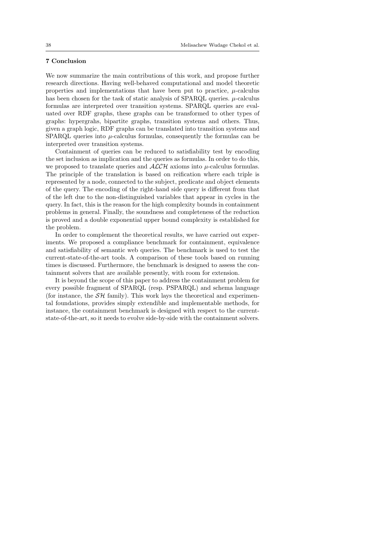## 7 Conclusion

We now summarize the main contributions of this work, and propose further research directions. Having well-behaved computational and model theoretic properties and implementations that have been put to practice,  $\mu$ -calculus has been chosen for the task of static analysis of SPARQL queries.  $\mu$ -calculus formulas are interpreted over transition systems. SPARQL queries are evaluated over RDF graphs, these graphs can be transformed to other types of graphs: hypergrahs, bipartite graphs, transition systems and others. Thus, given a graph logic, RDF graphs can be translated into transition systems and SPARQL queries into  $\mu$ -calculus formulas, consequently the formulas can be interpreted over transition systems.

Containment of queries can be reduced to satisfiability test by encoding the set inclusion as implication and the queries as formulas. In order to do this, we proposed to translate queries and  $\mathcal{ALCH}$  axioms into  $\mu$ -calculus formulas. The principle of the translation is based on reification where each triple is represented by a node, connected to the subject, predicate and object elements of the query. The encoding of the right-hand side query is different from that of the left due to the non-distinguished variables that appear in cycles in the query. In fact, this is the reason for the high complexity bounds in containment problems in general. Finally, the soundness and completeness of the reduction is proved and a double exponential upper bound complexity is established for the problem.

In order to complement the theoretical results, we have carried out experiments. We proposed a compliance benchmark for containment, equivalence and satisfiability of semantic web queries. The benchmark is used to test the current-state-of-the-art tools. A comparison of these tools based on running times is discussed. Furthermore, the benchmark is designed to assess the containment solvers that are available presently, with room for extension.

It is beyond the scope of this paper to address the containment problem for every possible fragment of SPARQL (resp. PSPARQL) and schema language (for instance, the  $\mathcal{SH}$  family). This work lays the theoretical and experimental foundations, provides simply extendible and implementable methods, for instance, the containment benchmark is designed with respect to the currentstate-of-the-art, so it needs to evolve side-by-side with the containment solvers.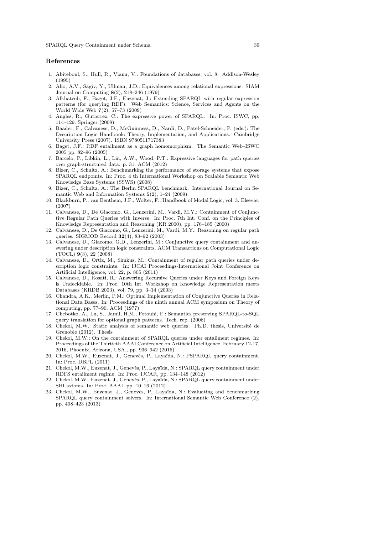#### References

- 1. Abiteboul, S., Hull, R., Vianu, V.: Foundations of databases, vol. 8. Addison-Wesley (1995)
- 2. Aho, A.V., Sagiv, Y., Ullman, J.D.: Equivalences among relational expressions. SIAM Journal on Computing 8(2), 218–246 (1979)
- 3. Alkhateeb, F., Baget, J.F., Euzenat, J.: Extending SPARQL with regular expression patterns (for querying RDF). Web Semantics: Science, Services and Agents on the World Wide Web 7(2), 57–73 (2009)
- 4. Angles, R., Gutierrez, C.: The expressive power of SPARQL. In: Proc. ISWC, pp. 114–129. Springer (2008)
- 5. Baader, F., Calvanese, D., McGuinness, D., Nardi, D., Patel-Schneider, P. (eds.): The Description Logic Handbook: Theory, Implementation, and Applications. Cambridge University Press (2007). ISBN 9780511717383
- 6. Baget, J.F.: RDF entailment as a graph homomorphism. The Semantic Web–ISWC 2005 pp. 82–96 (2005)
- 7. Barcelo, P., Libkin, L., Lin, A.W., Wood, P.T.: Expressive languages for path queries over graph-structured data. p. 31. ACM (2012)
- 8. Bizer, C., Schultz, A.: Benchmarking the performance of storage systems that expose SPARQL endpoints. In: Proc. 4 th International Workshop on Scalable Semantic Web Knowledge Base Systems (SSWS) (2008)
- 9. Bizer, C., Schultz, A.: The Berlin SPARQL benchmark. International Journal on Semantic Web and Information Systems  $5(2)$ , 1–24 (2009)
- 10. Blackburn, P., van Benthem, J.F., Wolter, F.: Handbook of Modal Logic, vol. 3. Elsevier (2007)
- 11. Calvanese, D., De Giacomo, G., Lenzerini, M., Vardi, M.Y.: Containment of Conjunctive Regular Path Queries with Inverse. In: Proc. 7th Int. Conf. on the Principles of Knowledge Representation and Reasoning (KR 2000), pp. 176–185 (2000)
- 12. Calvanese, D., De Giacomo, G., Lenzerini, M., Vardi, M.Y.: Reasoning on regular path queries. SIGMOD Record 32(4), 83–92 (2003)
- 13. Calvanese, D., Giacomo, G.D., Lenzerini, M.: Conjunctive query containment and answering under description logic constraints. ACM Transactions on Computational Logic (TOCL) 9(3), 22 (2008)
- 14. Calvanese, D., Ortiz, M., Simkus, M.: Containment of regular path queries under description logic constraints. In: IJCAI Proceedings-International Joint Conference on Artificial Intelligence, vol. 22, p. 805 (2011)
- 15. Calvanese, D., Rosati, R.: Answering Recursive Queries under Keys and Foreign Keys is Undecidable. In: Proc. 10th Int. Workshop on Knowledge Representation meets Databases (KRDB 2003), vol. 79, pp. 3–14 (2003)
- 16. Chandra, A.K., Merlin, P.M.: Optimal Implementation of Conjunctive Queries in Relational Data Bases. In: Proceedings of the ninth annual ACM symposium on Theory of computing, pp. 77–90. ACM (1977)
- 17. Chebotko, A., Lu, S., Jamil, H.M., Fotouhi, F.: Semantics preserving SPARQL-to-SQL query translation for optional graph patterns. Tech. rep. (2006)
- 18. Chekol, M.W.: Static analysis of semantic web queries. Ph.D. thesis, Université de Grenoble (2012). Thesis
- 19. Chekol, M.W.: On the containment of SPARQL queries under entailment regimes. In: Proceedings of the Thirtieth AAAI Conference on Artificial Intelligence, February 12-17, 2016, Phoenix, Arizona, USA., pp. 936–942 (2016)
- 20. Chekol, M.W., Euzenat, J., Genevès, P., Layaïda, N.: PSPARQL query containment. In: Proc. DBPL (2011)
- 21. Chekol, M.W., Euzenat, J., Genevès, P., Layaïda, N.: SPARQL query containment under RDFS entailment regime. In: Proc. IJCAR, pp. 134–148 (2012)
- 22. Chekol, M.W., Euzenat, J., Genevès, P., Layaïda, N.: SPARQL query containment under SHI axioms. In: Proc. AAAI, pp. 10–16 (2012)
- 23. Chekol, M.W., Euzenat, J., Genevès, P., Layaïda, N.: Evaluating and benchmarking SPARQL query containment solvers. In: International Semantic Web Conference (2), pp. 408–423 (2013)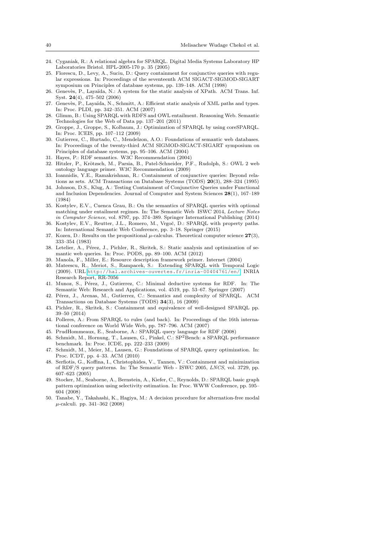- 24. Cyganiak, R.: A relational algebra for SPARQL. Digital Media Systems Laboratory HP Laboratories Bristol. HPL-2005-170 p. 35 (2005)
- 25. Florescu, D., Levy, A., Suciu, D.: Query containment for conjunctive queries with regular expressions. In: Proceedings of the seventeenth ACM SIGACT-SIGMOD-SIGART symposium on Principles of database systems, pp. 139–148. ACM (1998)
- 26. Genevès, P., Layaïda, N.: A system for the static analysis of XPath. ACM Trans. Inf. Syst. 24(4), 475–502 (2006)
- 27. Genevès, P., Layaïda, N., Schmitt, A.: Efficient static analysis of XML paths and types. In: Proc. PLDI, pp. 342–351. ACM (2007)
- 28. Glimm, B.: Using SPARQL with RDFS and OWL entailment. Reasoning Web. Semantic Technologies for the Web of Data pp. 137–201 (2011)
- 29. Groppe, J., Groppe, S., Kolbaum, J.: Optimization of SPARQL by using coreSPARQL. In: Proc. ICEIS, pp. 107–112 (2009)
- 30. Gutierrez, C., Hurtado, C., Mendelzon, A.O.: Foundations of semantic web databases. In: Proceedings of the twenty-third ACM SIGMOD-SIGACT-SIGART symposium on Principles of database systems, pp. 95–106. ACM (2004)
- 31. Hayes, P.: RDF semantics. W3C Recommendation (2004)
- 32. Hitzler, P., Krötzsch, M., Parsia, B., Patel-Schneider, P.F., Rudolph, S.: OWL 2 web ontology language primer. W3C Recommendation (2009)
- 33. Ioannidis, Y.E., Ramakrishnan, R.: Containment of conjunctive queries: Beyond relations as sets. ACM Transactions on Database Systems (TODS) 20(3), 288–324 (1995)
- 34. Johnson, D.S., Klug, A.: Testing Containment of Conjunctive Queries under Functional and Inclusion Dependencies. Journal of Computer and System Sciences 28(1), 167–189 (1984)
- 35. Kostylev, E.V., Cuenca Grau, B.: On the semantics of SPARQL queries with optional matching under entailment regimes. In: The Semantic Web ISWC 2014, Lecture Notes in Computer Science, vol. 8797, pp. 374–389. Springer International Publishing (2014)
- Kostylev, E.V., Reutter, J.L., Romero, M., Vrgoč, D.: SPARQL with property paths. In: International Semantic Web Conference, pp. 3–18. Springer (2015)
- 37. Kozen, D.: Results on the propositional  $\mu$ -calculus. Theoretical computer science  $27(3)$ , 333–354 (1983)
- 38. Letelier, A., Pérez, J., Pichler, R., Skritek, S.: Static analysis and optimization of semantic web queries. In: Proc. PODS, pp. 89–100. ACM (2012)
- 39. Manola, F., Miller, E.: Resource description framework primer. Internet (2004)
- 40. Mateescu, R., Meriot, S., Rampacek, S.: Extending SPARQL with Temporal Logic (2009). URL <http://hal.archives-ouvertes.fr/inria-00404761/en/>. INRIA Research Report, RR-7056
- 41. Munoz, S., Pérez, J., Gutierrez, C.: Minimal deductive systems for RDF. In: The Semantic Web: Research and Applications, vol. 4519, pp. 53–67. Springer (2007)
- 42. Pérez, J., Arenas, M., Gutierrez, C.: Semantics and complexity of SPARQL. ACM Transactions on Database Systems (TODS) 34(3), 16 (2009)
- 43. Pichler, R., Skritek, S.: Containment and equivalence of well-designed SPARQL pp. 39–50 (2014)
- 44. Polleres, A.: From SPARQL to rules (and back). In: Proceedings of the 16th international conference on World Wide Web, pp. 787–796. ACM (2007)
- 45. PrudHommeaux, E., Seaborne, A.: SPARQL query language for RDF (2008)
- 46. Schmidt, M., Hornung, T., Lausen, G., Pinkel, C.: SP2Bench: a SPARQL performance benchmark. In: Proc. ICDE, pp. 222–233 (2009)
- 47. Schmidt, M., Meier, M., Lausen, G.: Foundations of SPARQL query optimization. In: Proc. ICDT, pp. 4–33. ACM (2010)
- 48. Serfiotis, G., Koffina, I., Christophides, V., Tannen, V.: Containment and minimization of RDF/S query patterns. In: The Semantic Web - ISWC 2005, LNCS, vol. 3729, pp. 607–623 (2005)
- 49. Stocker, M., Seaborne, A., Bernstein, A., Kiefer, C., Reynolds, D.: SPARQL basic graph pattern optimization using selectivity estimation. In: Proc. WWW Conference, pp. 595– 604 (2008)
- 50. Tanabe, Y., Takahashi, K., Hagiya, M.: A decision procedure for alternation-free modal  $\mu$ -calculi. pp. 341–362 (2008)